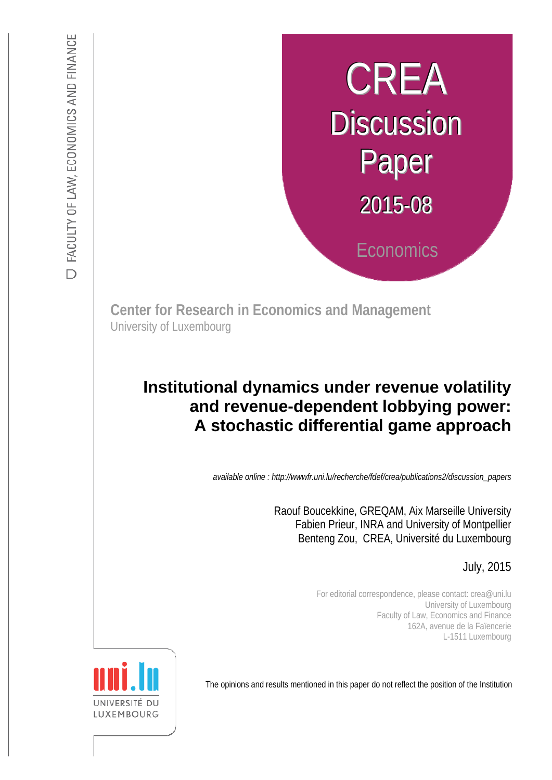# CREA **Discussion** Paper 2015-08 **Economics**

**Center for Research in Economics and Management** University of Luxembourg

## and revenue-dependent lobbying power: **Institutional dynamics under revenue volatility A stochastic differential game approach**

*available online : http://wwwfr.uni.lu/recherche/fdef/crea/publications2/discussion\_papers* 

 Raouf Boucekkine, GREQAM, Aix Marseille University Fabien Prieur, INRA and University of Montpellier Benteng Zou, CREA, Université du Luxembourg

July, 2015

For editorial correspondence, please contact: crea@uni.lu University of Luxembourg Faculty of Law, Economics and Finance 162A, avenue de la Faïencerie L-1511 Luxembourg

The opinions and results mentioned in this paper do not reflect the position of the Institution

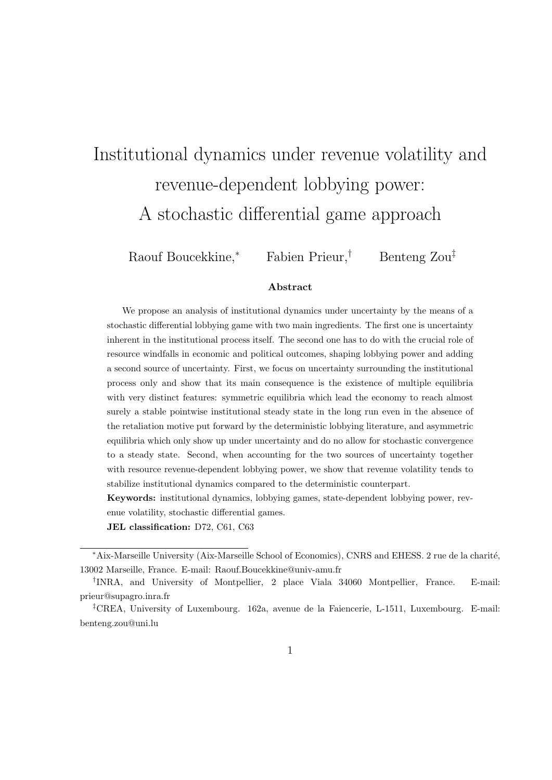# Institutional dynamics under revenue volatility and revenue-dependent lobbying power: A stochastic differential game approach

Raouf Boucekkine,*<sup>∗</sup>* Fabien Prieur,*†* Benteng Zou*‡*

#### **Abstract**

We propose an analysis of institutional dynamics under uncertainty by the means of a stochastic differential lobbying game with two main ingredients. The first one is uncertainty inherent in the institutional process itself. The second one has to do with the crucial role of resource windfalls in economic and political outcomes, shaping lobbying power and adding a second source of uncertainty. First, we focus on uncertainty surrounding the institutional process only and show that its main consequence is the existence of multiple equilibria with very distinct features: symmetric equilibria which lead the economy to reach almost surely a stable pointwise institutional steady state in the long run even in the absence of the retaliation motive put forward by the deterministic lobbying literature, and asymmetric equilibria which only show up under uncertainty and do no allow for stochastic convergence to a steady state. Second, when accounting for the two sources of uncertainty together with resource revenue-dependent lobbying power, we show that revenue volatility tends to stabilize institutional dynamics compared to the deterministic counterpart.

**Keywords:** institutional dynamics, lobbying games, state-dependent lobbying power, revenue volatility, stochastic differential games.

**JEL classification:** D72, C61, C63

*<sup>\*</sup>Aix-Marseille University (Aix-Marseille School of Economics), CNRS and EHESS. 2 rue de la charité,* 13002 Marseille, France. E-mail: Raouf.Boucekkine@univ-amu.fr

*<sup>†</sup>* INRA, and University of Montpellier, 2 place Viala 34060 Montpellier, France. E-mail: prieur@supagro.inra.fr

*<sup>‡</sup>*CREA, University of Luxembourg. 162a, avenue de la Faiencerie, L-1511, Luxembourg. E-mail: benteng.zou@uni.lu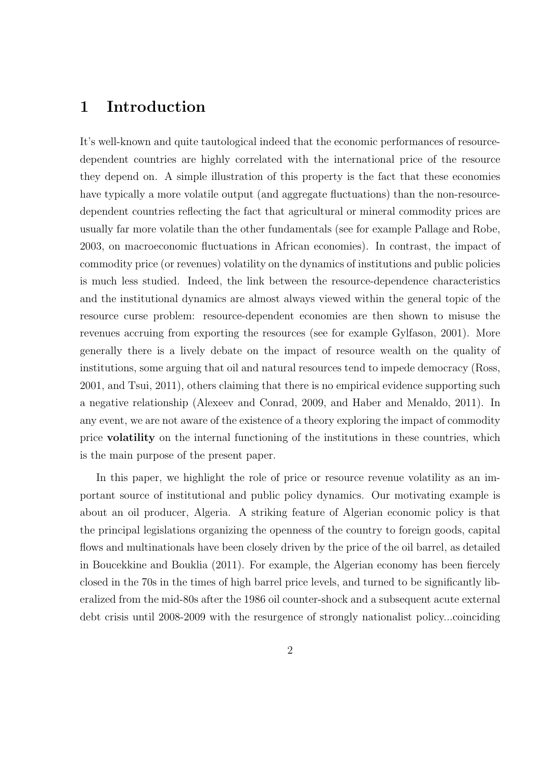## **1 Introduction**

It's well-known and quite tautological indeed that the economic performances of resourcedependent countries are highly correlated with the international price of the resource they depend on. A simple illustration of this property is the fact that these economies have typically a more volatile output (and aggregate fluctuations) than the non-resourcedependent countries reflecting the fact that agricultural or mineral commodity prices are usually far more volatile than the other fundamentals (see for example Pallage and Robe, 2003, on macroeconomic fluctuations in African economies). In contrast, the impact of commodity price (or revenues) volatility on the dynamics of institutions and public policies is much less studied. Indeed, the link between the resource-dependence characteristics and the institutional dynamics are almost always viewed within the general topic of the resource curse problem: resource-dependent economies are then shown to misuse the revenues accruing from exporting the resources (see for example Gylfason, 2001). More generally there is a lively debate on the impact of resource wealth on the quality of institutions, some arguing that oil and natural resources tend to impede democracy (Ross, 2001, and Tsui, 2011), others claiming that there is no empirical evidence supporting such a negative relationship (Alexeev and Conrad, 2009, and Haber and Menaldo, 2011). In any event, we are not aware of the existence of a theory exploring the impact of commodity price **volatility** on the internal functioning of the institutions in these countries, which is the main purpose of the present paper.

In this paper, we highlight the role of price or resource revenue volatility as an important source of institutional and public policy dynamics. Our motivating example is about an oil producer, Algeria. A striking feature of Algerian economic policy is that the principal legislations organizing the openness of the country to foreign goods, capital flows and multinationals have been closely driven by the price of the oil barrel, as detailed in Boucekkine and Bouklia (2011). For example, the Algerian economy has been fiercely closed in the 70s in the times of high barrel price levels, and turned to be significantly liberalized from the mid-80s after the 1986 oil counter-shock and a subsequent acute external debt crisis until 2008-2009 with the resurgence of strongly nationalist policy...coinciding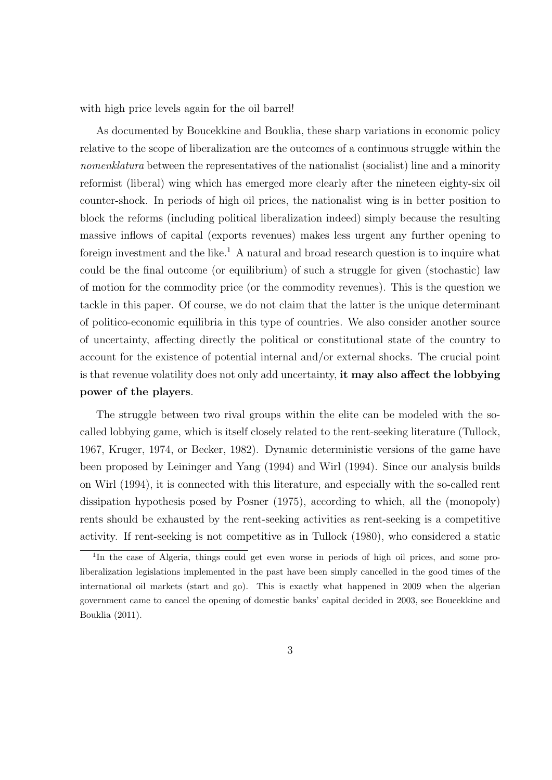with high price levels again for the oil barrel!

As documented by Boucekkine and Bouklia, these sharp variations in economic policy relative to the scope of liberalization are the outcomes of a continuous struggle within the *nomenklatura* between the representatives of the nationalist (socialist) line and a minority reformist (liberal) wing which has emerged more clearly after the nineteen eighty-six oil counter-shock. In periods of high oil prices, the nationalist wing is in better position to block the reforms (including political liberalization indeed) simply because the resulting massive inflows of capital (exports revenues) makes less urgent any further opening to foreign investment and the like.<sup>1</sup> A natural and broad research question is to inquire what could be the final outcome (or equilibrium) of such a struggle for given (stochastic) law of motion for the commodity price (or the commodity revenues). This is the question we tackle in this paper. Of course, we do not claim that the latter is the unique determinant of politico-economic equilibria in this type of countries. We also consider another source of uncertainty, affecting directly the political or constitutional state of the country to account for the existence of potential internal and/or external shocks. The crucial point is that revenue volatility does not only add uncertainty, **it may also affect the lobbying power of the players**.

The struggle between two rival groups within the elite can be modeled with the socalled lobbying game, which is itself closely related to the rent-seeking literature (Tullock, 1967, Kruger, 1974, or Becker, 1982). Dynamic deterministic versions of the game have been proposed by Leininger and Yang (1994) and Wirl (1994). Since our analysis builds on Wirl (1994), it is connected with this literature, and especially with the so-called rent dissipation hypothesis posed by Posner (1975), according to which, all the (monopoly) rents should be exhausted by the rent-seeking activities as rent-seeking is a competitive activity. If rent-seeking is not competitive as in Tullock (1980), who considered a static

<sup>&</sup>lt;sup>1</sup>In the case of Algeria, things could get even worse in periods of high oil prices, and some proliberalization legislations implemented in the past have been simply cancelled in the good times of the international oil markets (start and go). This is exactly what happened in 2009 when the algerian government came to cancel the opening of domestic banks' capital decided in 2003, see Boucekkine and Bouklia (2011).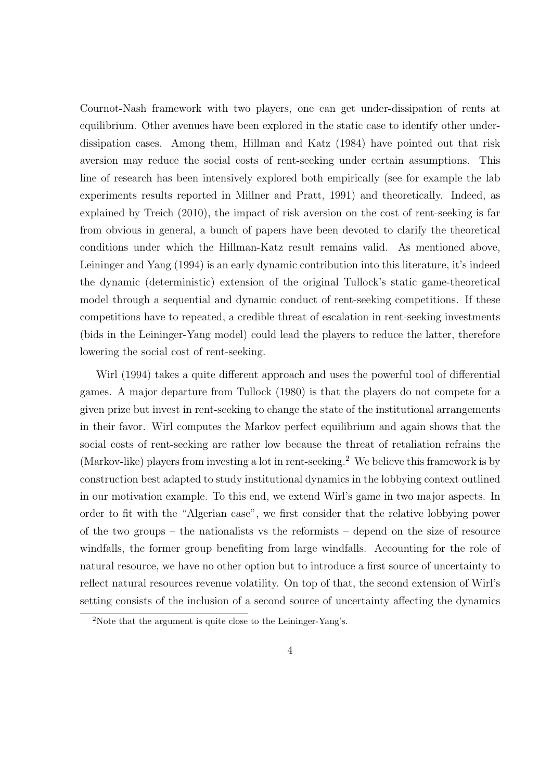Cournot-Nash framework with two players, one can get under-dissipation of rents at equilibrium. Other avenues have been explored in the static case to identify other underdissipation cases. Among them, Hillman and Katz (1984) have pointed out that risk aversion may reduce the social costs of rent-seeking under certain assumptions. This line of research has been intensively explored both empirically (see for example the lab experiments results reported in Millner and Pratt, 1991) and theoretically. Indeed, as explained by Treich (2010), the impact of risk aversion on the cost of rent-seeking is far from obvious in general, a bunch of papers have been devoted to clarify the theoretical conditions under which the Hillman-Katz result remains valid. As mentioned above, Leininger and Yang (1994) is an early dynamic contribution into this literature, it's indeed the dynamic (deterministic) extension of the original Tullock's static game-theoretical model through a sequential and dynamic conduct of rent-seeking competitions. If these competitions have to repeated, a credible threat of escalation in rent-seeking investments (bids in the Leininger-Yang model) could lead the players to reduce the latter, therefore lowering the social cost of rent-seeking.

Wirl (1994) takes a quite different approach and uses the powerful tool of differential games. A major departure from Tullock (1980) is that the players do not compete for a given prize but invest in rent-seeking to change the state of the institutional arrangements in their favor. Wirl computes the Markov perfect equilibrium and again shows that the social costs of rent-seeking are rather low because the threat of retaliation refrains the (Markov-like) players from investing a lot in rent-seeking.<sup>2</sup> We believe this framework is by construction best adapted to study institutional dynamics in the lobbying context outlined in our motivation example. To this end, we extend Wirl's game in two major aspects. In order to fit with the "Algerian case", we first consider that the relative lobbying power of the two groups – the nationalists vs the reformists – depend on the size of resource windfalls, the former group benefiting from large windfalls. Accounting for the role of natural resource, we have no other option but to introduce a first source of uncertainty to reflect natural resources revenue volatility. On top of that, the second extension of Wirl's setting consists of the inclusion of a second source of uncertainty affecting the dynamics

<sup>2</sup>Note that the argument is quite close to the Leininger-Yang's.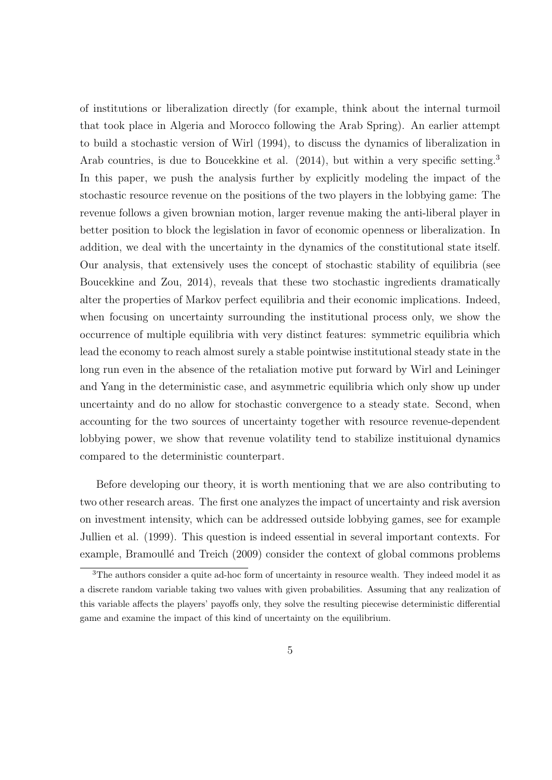of institutions or liberalization directly (for example, think about the internal turmoil that took place in Algeria and Morocco following the Arab Spring). An earlier attempt to build a stochastic version of Wirl (1994), to discuss the dynamics of liberalization in Arab countries, is due to Boucekkine et al. (2014), but within a very specific setting.<sup>3</sup> In this paper, we push the analysis further by explicitly modeling the impact of the stochastic resource revenue on the positions of the two players in the lobbying game: The revenue follows a given brownian motion, larger revenue making the anti-liberal player in better position to block the legislation in favor of economic openness or liberalization. In addition, we deal with the uncertainty in the dynamics of the constitutional state itself. Our analysis, that extensively uses the concept of stochastic stability of equilibria (see Boucekkine and Zou, 2014), reveals that these two stochastic ingredients dramatically alter the properties of Markov perfect equilibria and their economic implications. Indeed, when focusing on uncertainty surrounding the institutional process only, we show the occurrence of multiple equilibria with very distinct features: symmetric equilibria which lead the economy to reach almost surely a stable pointwise institutional steady state in the long run even in the absence of the retaliation motive put forward by Wirl and Leininger and Yang in the deterministic case, and asymmetric equilibria which only show up under uncertainty and do no allow for stochastic convergence to a steady state. Second, when accounting for the two sources of uncertainty together with resource revenue-dependent lobbying power, we show that revenue volatility tend to stabilize instituional dynamics compared to the deterministic counterpart.

Before developing our theory, it is worth mentioning that we are also contributing to two other research areas. The first one analyzes the impact of uncertainty and risk aversion on investment intensity, which can be addressed outside lobbying games, see for example Jullien et al. (1999). This question is indeed essential in several important contexts. For example, Bramoullé and Treich (2009) consider the context of global commons problems

<sup>&</sup>lt;sup>3</sup>The authors consider a quite ad-hoc form of uncertainty in resource wealth. They indeed model it as a discrete random variable taking two values with given probabilities. Assuming that any realization of this variable affects the players' payoffs only, they solve the resulting piecewise deterministic differential game and examine the impact of this kind of uncertainty on the equilibrium.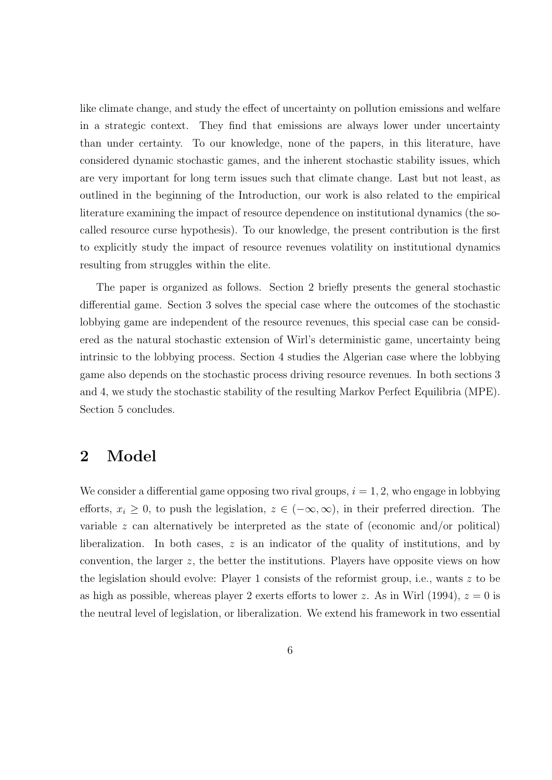like climate change, and study the effect of uncertainty on pollution emissions and welfare in a strategic context. They find that emissions are always lower under uncertainty than under certainty. To our knowledge, none of the papers, in this literature, have considered dynamic stochastic games, and the inherent stochastic stability issues, which are very important for long term issues such that climate change. Last but not least, as outlined in the beginning of the Introduction, our work is also related to the empirical literature examining the impact of resource dependence on institutional dynamics (the socalled resource curse hypothesis). To our knowledge, the present contribution is the first to explicitly study the impact of resource revenues volatility on institutional dynamics resulting from struggles within the elite.

The paper is organized as follows. Section 2 briefly presents the general stochastic differential game. Section 3 solves the special case where the outcomes of the stochastic lobbying game are independent of the resource revenues, this special case can be considered as the natural stochastic extension of Wirl's deterministic game, uncertainty being intrinsic to the lobbying process. Section 4 studies the Algerian case where the lobbying game also depends on the stochastic process driving resource revenues. In both sections 3 and 4, we study the stochastic stability of the resulting Markov Perfect Equilibria (MPE). Section 5 concludes.

## **2 Model**

We consider a differential game opposing two rival groups,  $i = 1, 2$ , who engage in lobbying efforts,  $x_i \geq 0$ , to push the legislation,  $z \in (-\infty, \infty)$ , in their preferred direction. The variable *z* can alternatively be interpreted as the state of (economic and/or political) liberalization. In both cases, *z* is an indicator of the quality of institutions, and by convention, the larger *z*, the better the institutions. Players have opposite views on how the legislation should evolve: Player 1 consists of the reformist group, i.e., wants *z* to be as high as possible, whereas player 2 exerts efforts to lower *z*. As in Wirl (1994),  $z = 0$  is the neutral level of legislation, or liberalization. We extend his framework in two essential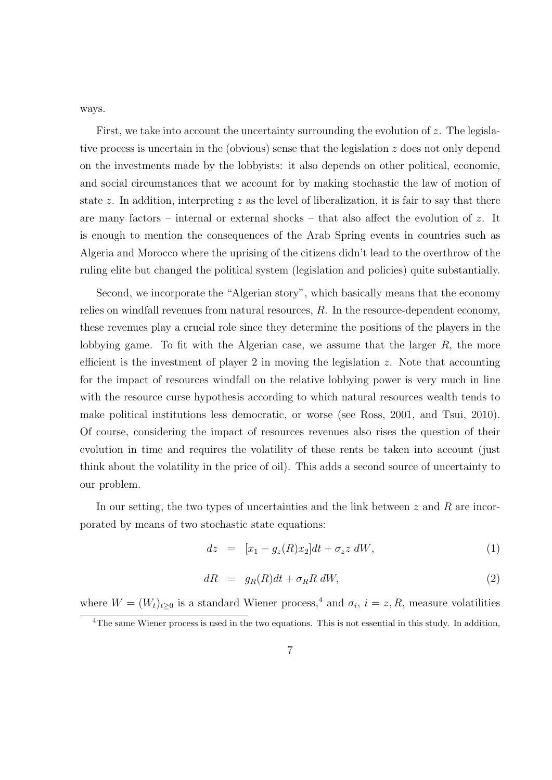ways.

First, we take into account the uncertainty surrounding the evolution of *z*. The legislative process is uncertain in the (obvious) sense that the legislation *z* does not only depend on the investments made by the lobbyists: it also depends on other political, economic, and social circumstances that we account for by making stochastic the law of motion of state *z*. In addition, interpreting *z* as the level of liberalization, it is fair to say that there are many factors – internal or external shocks – that also affect the evolution of *z*. It is enough to mention the consequences of the Arab Spring events in countries such as Algeria and Morocco where the uprising of the citizens didn't lead to the overthrow of the ruling elite but changed the political system (legislation and policies) quite substantially.

Second, we incorporate the "Algerian story", which basically means that the economy relies on windfall revenues from natural resources, *R*. In the resource-dependent economy, these revenues play a crucial role since they determine the positions of the players in the lobbying game. To fit with the Algerian case, we assume that the larger *R*, the more efficient is the investment of player 2 in moving the legislation *z*. Note that accounting for the impact of resources windfall on the relative lobbying power is very much in line with the resource curse hypothesis according to which natural resources wealth tends to make political institutions less democratic, or worse (see Ross, 2001, and Tsui, 2010). Of course, considering the impact of resources revenues also rises the question of their evolution in time and requires the volatility of these rents be taken into account (just think about the volatility in the price of oil). This adds a second source of uncertainty to our problem.

In our setting, the two types of uncertainties and the link between *z* and *R* are incorporated by means of two stochastic state equations:

$$
dz = [x_1 - g_z(R)x_2]dt + \sigma_z z \, dW,\tag{1}
$$

$$
dR = g_R(R)dt + \sigma_R R dW, \qquad (2)
$$

where  $W = (W_t)_{t \geq 0}$  is a standard Wiener process,<sup>4</sup> and  $\sigma_i$ ,  $i = z, R$ , measure volatilities

<sup>&</sup>lt;sup>4</sup>The same Wiener process is used in the two equations. This is not essential in this study. In addition,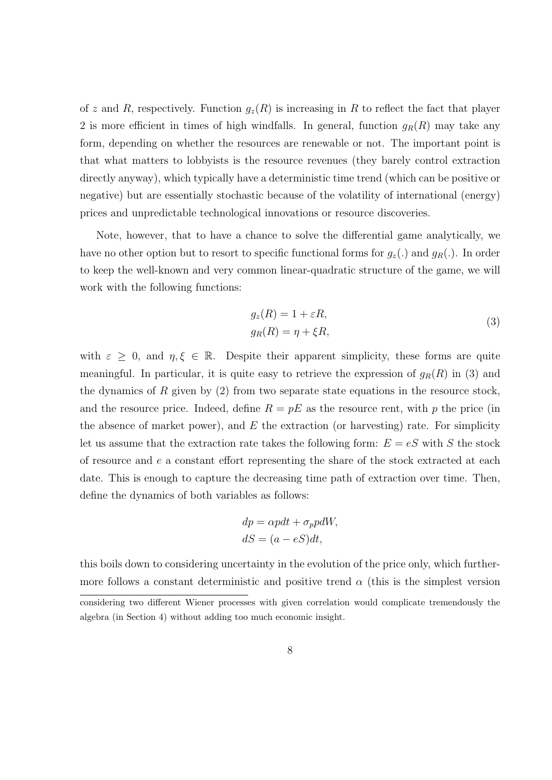of *z* and *R*, respectively. Function  $g_z(R)$  is increasing in *R* to reflect the fact that player 2 is more efficient in times of high windfalls. In general, function  $g_R(R)$  may take any form, depending on whether the resources are renewable or not. The important point is that what matters to lobbyists is the resource revenues (they barely control extraction directly anyway), which typically have a deterministic time trend (which can be positive or negative) but are essentially stochastic because of the volatility of international (energy) prices and unpredictable technological innovations or resource discoveries.

Note, however, that to have a chance to solve the differential game analytically, we have no other option but to resort to specific functional forms for  $g_z(.)$  and  $g_R(.)$ . In order to keep the well-known and very common linear-quadratic structure of the game, we will work with the following functions:

$$
g_z(R) = 1 + \varepsilon R,
$$
  
\n
$$
g_R(R) = \eta + \xi R,
$$
\n(3)

with  $\varepsilon \geq 0$ , and  $\eta, \xi \in \mathbb{R}$ . Despite their apparent simplicity, these forms are quite meaningful. In particular, it is quite easy to retrieve the expression of  $g_R(R)$  in (3) and the dynamics of *R* given by (2) from two separate state equations in the resource stock, and the resource price. Indeed, define  $R = pE$  as the resource rent, with p the price (in the absence of market power), and *E* the extraction (or harvesting) rate. For simplicity let us assume that the extraction rate takes the following form:  $E = eS$  with *S* the stock of resource and *e* a constant effort representing the share of the stock extracted at each date. This is enough to capture the decreasing time path of extraction over time. Then, define the dynamics of both variables as follows:

$$
dp = \alpha p dt + \sigma_p p dW,
$$
  

$$
dS = (a - eS)dt,
$$

this boils down to considering uncertainty in the evolution of the price only, which furthermore follows a constant deterministic and positive trend  $\alpha$  (this is the simplest version

considering two different Wiener processes with given correlation would complicate tremendously the algebra (in Section 4) without adding too much economic insight.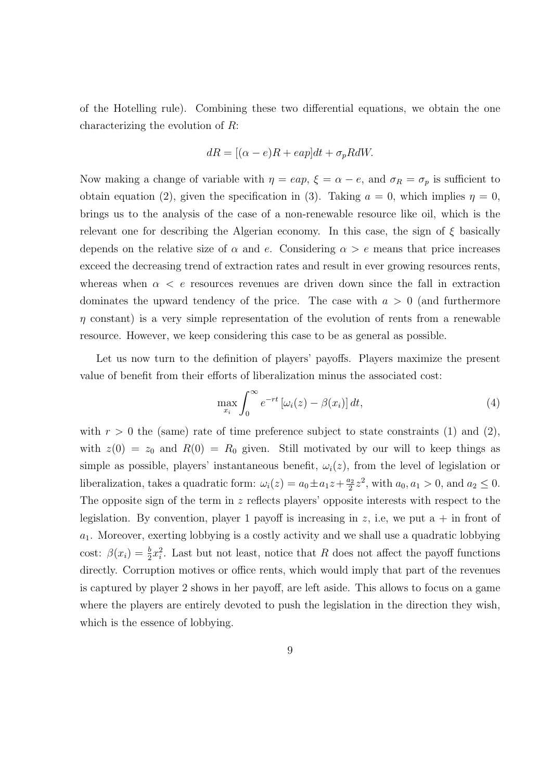of the Hotelling rule). Combining these two differential equations, we obtain the one characterizing the evolution of *R*:

$$
dR = [(\alpha - e)R + eap]dt + \sigma_p R dW.
$$

Now making a change of variable with  $\eta = \text{cap}, \xi = \alpha - e$ , and  $\sigma_R = \sigma_p$  is sufficient to obtain equation (2), given the specification in (3). Taking  $a = 0$ , which implies  $\eta = 0$ , brings us to the analysis of the case of a non-renewable resource like oil, which is the relevant one for describing the Algerian economy. In this case, the sign of *ξ* basically depends on the relative size of  $\alpha$  and  $e$ . Considering  $\alpha > e$  means that price increases exceed the decreasing trend of extraction rates and result in ever growing resources rents, whereas when  $\alpha < e$  resources revenues are driven down since the fall in extraction dominates the upward tendency of the price. The case with *a >* 0 (and furthermore *η* constant) is a very simple representation of the evolution of rents from a renewable resource. However, we keep considering this case to be as general as possible.

Let us now turn to the definition of players' payoffs. Players maximize the present value of benefit from their efforts of liberalization minus the associated cost:

$$
\max_{x_i} \int_0^\infty e^{-rt} \left[ \omega_i(z) - \beta(x_i) \right] dt,\tag{4}
$$

with  $r > 0$  the (same) rate of time preference subject to state constraints (1) and (2), with  $z(0) = z_0$  and  $R(0) = R_0$  given. Still motivated by our will to keep things as simple as possible, players' instantaneous benefit,  $\omega_i(z)$ , from the level of legislation or liberalization, takes a quadratic form:  $\omega_i(z) = a_0 \pm a_1 z + \frac{a_2}{2}$  $a_2^2 z^2$ , with  $a_0, a_1 > 0$ , and  $a_2 \leq 0$ . The opposite sign of the term in *z* reflects players' opposite interests with respect to the legislation. By convention, player 1 payoff is increasing in  $z$ , i.e, we put  $a + in$  front of *a*1. Moreover, exerting lobbying is a costly activity and we shall use a quadratic lobbying cost:  $\beta(x_i) = \frac{b}{2}x_i^2$ . Last but not least, notice that *R* does not affect the payoff functions directly. Corruption motives or office rents, which would imply that part of the revenues is captured by player 2 shows in her payoff, are left aside. This allows to focus on a game where the players are entirely devoted to push the legislation in the direction they wish, which is the essence of lobbying.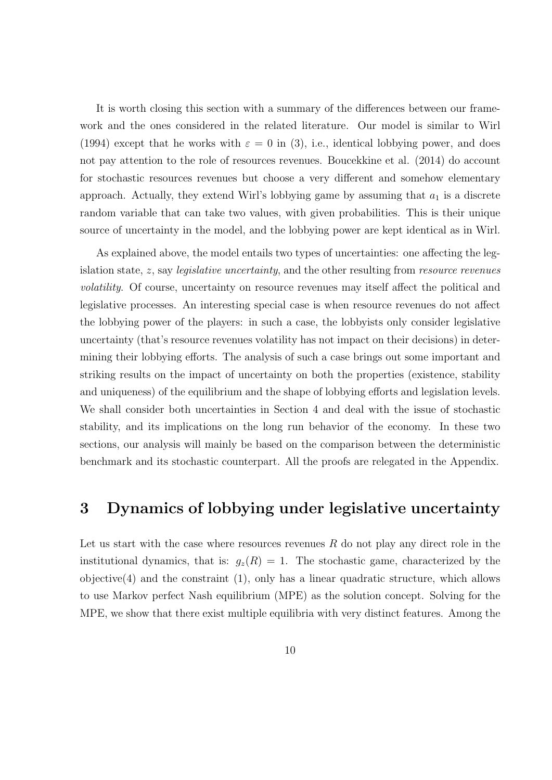It is worth closing this section with a summary of the differences between our framework and the ones considered in the related literature. Our model is similar to Wirl (1994) except that he works with  $\varepsilon = 0$  in (3), i.e., identical lobbying power, and does not pay attention to the role of resources revenues. Boucekkine et al. (2014) do account for stochastic resources revenues but choose a very different and somehow elementary approach. Actually, they extend Wirl's lobbying game by assuming that  $a_1$  is a discrete random variable that can take two values, with given probabilities. This is their unique source of uncertainty in the model, and the lobbying power are kept identical as in Wirl.

As explained above, the model entails two types of uncertainties: one affecting the legislation state, *z*, say *legislative uncertainty*, and the other resulting from *resource revenues volatility*. Of course, uncertainty on resource revenues may itself affect the political and legislative processes. An interesting special case is when resource revenues do not affect the lobbying power of the players: in such a case, the lobbyists only consider legislative uncertainty (that's resource revenues volatility has not impact on their decisions) in determining their lobbying efforts. The analysis of such a case brings out some important and striking results on the impact of uncertainty on both the properties (existence, stability and uniqueness) of the equilibrium and the shape of lobbying efforts and legislation levels. We shall consider both uncertainties in Section 4 and deal with the issue of stochastic stability, and its implications on the long run behavior of the economy. In these two sections, our analysis will mainly be based on the comparison between the deterministic benchmark and its stochastic counterpart. All the proofs are relegated in the Appendix.

## **3 Dynamics of lobbying under legislative uncertainty**

Let us start with the case where resources revenues *R* do not play any direct role in the institutional dynamics, that is:  $g_z(R) = 1$ . The stochastic game, characterized by the  $objective(4)$  and the constraint  $(1)$ , only has a linear quadratic structure, which allows to use Markov perfect Nash equilibrium (MPE) as the solution concept. Solving for the MPE, we show that there exist multiple equilibria with very distinct features. Among the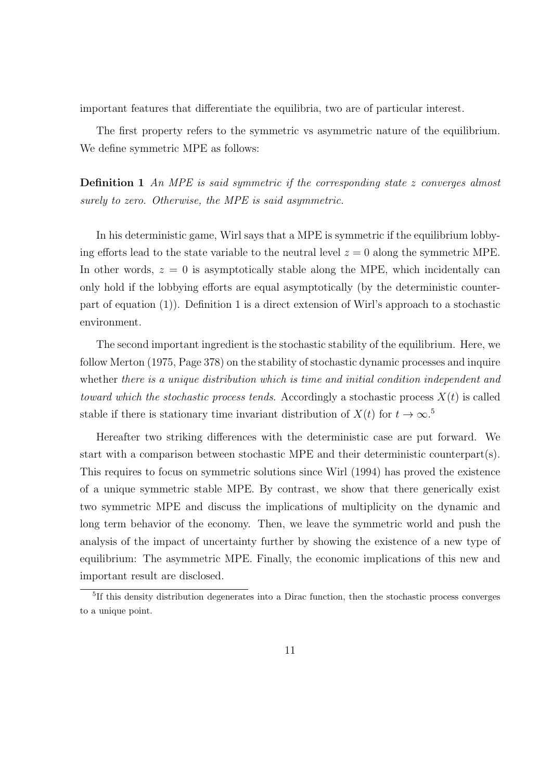important features that differentiate the equilibria, two are of particular interest.

The first property refers to the symmetric vs asymmetric nature of the equilibrium. We define symmetric MPE as follows:

**Definition 1** *An MPE is said symmetric if the corresponding state z converges almost surely to zero. Otherwise, the MPE is said asymmetric.*

In his deterministic game, Wirl says that a MPE is symmetric if the equilibrium lobbying efforts lead to the state variable to the neutral level  $z = 0$  along the symmetric MPE. In other words,  $z = 0$  is asymptotically stable along the MPE, which incidentally can only hold if the lobbying efforts are equal asymptotically (by the deterministic counterpart of equation (1)). Definition 1 is a direct extension of Wirl's approach to a stochastic environment.

The second important ingredient is the stochastic stability of the equilibrium. Here, we follow Merton (1975, Page 378) on the stability of stochastic dynamic processes and inquire whether *there is a unique distribution which is time and initial condition independent and toward which the stochastic process tends.* Accordingly a stochastic process  $X(t)$  is called stable if there is stationary time invariant distribution of  $X(t)$  for  $t \to \infty$ .<sup>5</sup>

Hereafter two striking differences with the deterministic case are put forward. We start with a comparison between stochastic MPE and their deterministic counterpart(s). This requires to focus on symmetric solutions since Wirl (1994) has proved the existence of a unique symmetric stable MPE. By contrast, we show that there generically exist two symmetric MPE and discuss the implications of multiplicity on the dynamic and long term behavior of the economy. Then, we leave the symmetric world and push the analysis of the impact of uncertainty further by showing the existence of a new type of equilibrium: The asymmetric MPE. Finally, the economic implications of this new and important result are disclosed.

<sup>&</sup>lt;sup>5</sup>If this density distribution degenerates into a Dirac function, then the stochastic process converges to a unique point.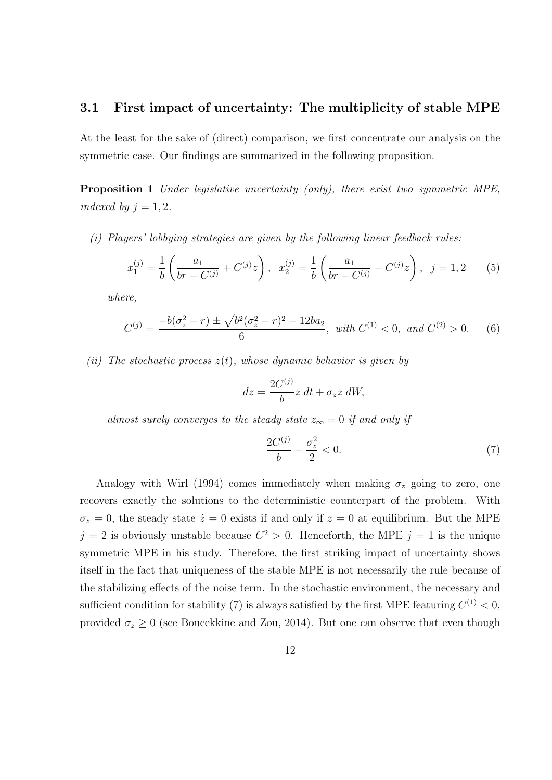### **3.1 First impact of uncertainty: The multiplicity of stable MPE**

At the least for the sake of (direct) comparison, we first concentrate our analysis on the symmetric case. Our findings are summarized in the following proposition.

**Proposition 1** *Under legislative uncertainty (only), there exist two symmetric MPE, indexed by*  $j = 1, 2$ *.* 

*(i) Players' lobbying strategies are given by the following linear feedback rules:*

$$
x_1^{(j)} = \frac{1}{b} \left( \frac{a_1}{br - C^{(j)}} + C^{(j)} z \right), \quad x_2^{(j)} = \frac{1}{b} \left( \frac{a_1}{br - C^{(j)}} - C^{(j)} z \right), \quad j = 1, 2 \tag{5}
$$

*where,*

$$
C^{(j)} = \frac{-b(\sigma_z^2 - r) \pm \sqrt{b^2(\sigma_z^2 - r)^2 - 12ba_2}}{6}, \text{ with } C^{(1)} < 0, \text{ and } C^{(2)} > 0. \tag{6}
$$

*(ii) The stochastic process z*(*t*)*, whose dynamic behavior is given by*

$$
dz = \frac{2C^{(j)}}{b}z dt + \sigma_z z dW,
$$

*almost surely converges to the steady state*  $z_{\infty} = 0$  *if and only if* 

$$
\frac{2C^{(j)}}{b} - \frac{\sigma_z^2}{2} < 0. \tag{7}
$$

Analogy with Wirl (1994) comes immediately when making  $\sigma_z$  going to zero, one recovers exactly the solutions to the deterministic counterpart of the problem. With  $\sigma_z = 0$ , the steady state  $\dot{z} = 0$  exists if and only if  $z = 0$  at equilibrium. But the MPE  $j = 2$  is obviously unstable because  $C^2 > 0$ . Henceforth, the MPE  $j = 1$  is the unique symmetric MPE in his study. Therefore, the first striking impact of uncertainty shows itself in the fact that uniqueness of the stable MPE is not necessarily the rule because of the stabilizing effects of the noise term. In the stochastic environment, the necessary and sufficient condition for stability (7) is always satisfied by the first MPE featuring  $C^{(1)} < 0$ , provided  $\sigma_z \geq 0$  (see Boucekkine and Zou, 2014). But one can observe that even though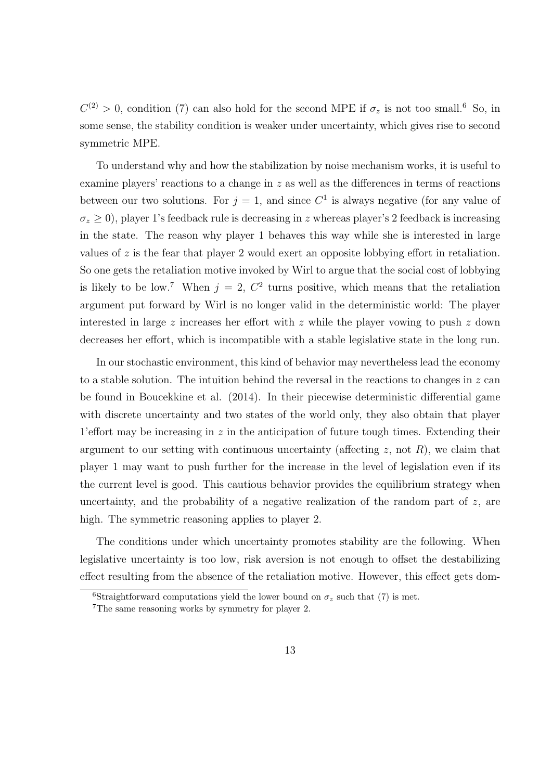$C^{(2)} > 0$ , condition (7) can also hold for the second MPE if  $\sigma_z$  is not too small.<sup>6</sup> So, in some sense, the stability condition is weaker under uncertainty, which gives rise to second symmetric MPE.

To understand why and how the stabilization by noise mechanism works, it is useful to examine players' reactions to a change in *z* as well as the differences in terms of reactions between our two solutions. For  $j = 1$ , and since  $C<sup>1</sup>$  is always negative (for any value of  $\sigma_z$  *>* 0), player 1's feedback rule is decreasing in *z* whereas player's 2 feedback is increasing in the state. The reason why player 1 behaves this way while she is interested in large values of *z* is the fear that player 2 would exert an opposite lobbying effort in retaliation. So one gets the retaliation motive invoked by Wirl to argue that the social cost of lobbying is likely to be low.<sup>7</sup> When  $j = 2, C^2$  turns positive, which means that the retaliation argument put forward by Wirl is no longer valid in the deterministic world: The player interested in large *z* increases her effort with *z* while the player vowing to push *z* down decreases her effort, which is incompatible with a stable legislative state in the long run.

In our stochastic environment, this kind of behavior may nevertheless lead the economy to a stable solution. The intuition behind the reversal in the reactions to changes in *z* can be found in Boucekkine et al. (2014). In their piecewise deterministic differential game with discrete uncertainty and two states of the world only, they also obtain that player 1'effort may be increasing in *z* in the anticipation of future tough times. Extending their argument to our setting with continuous uncertainty (affecting  $z$ , not  $R$ ), we claim that player 1 may want to push further for the increase in the level of legislation even if its the current level is good. This cautious behavior provides the equilibrium strategy when uncertainty, and the probability of a negative realization of the random part of *z*, are high. The symmetric reasoning applies to player 2.

The conditions under which uncertainty promotes stability are the following. When legislative uncertainty is too low, risk aversion is not enough to offset the destabilizing effect resulting from the absence of the retaliation motive. However, this effect gets dom-

<sup>&</sup>lt;sup>6</sup>Straightforward computations yield the lower bound on  $\sigma_z$  such that (7) is met.

<sup>7</sup>The same reasoning works by symmetry for player 2.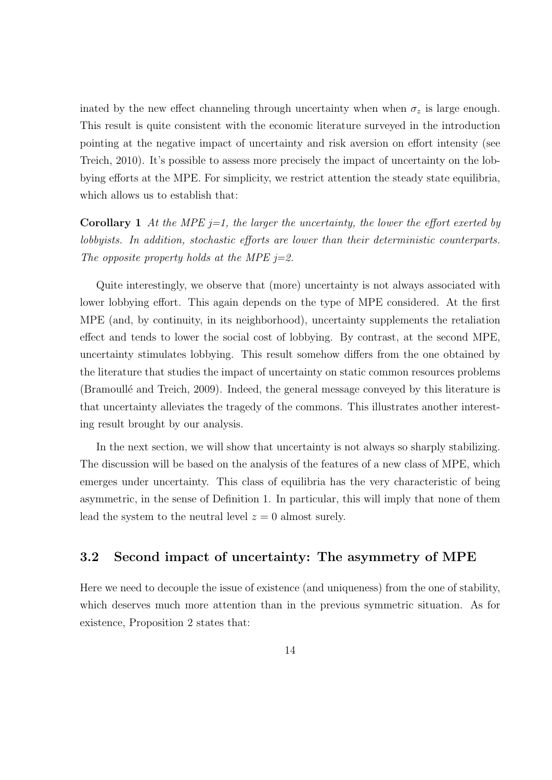inated by the new effect channeling through uncertainty when when  $\sigma_z$  is large enough. This result is quite consistent with the economic literature surveyed in the introduction pointing at the negative impact of uncertainty and risk aversion on effort intensity (see Treich, 2010). It's possible to assess more precisely the impact of uncertainty on the lobbying efforts at the MPE. For simplicity, we restrict attention the steady state equilibria, which allows us to establish that:

**Corollary 1** *At the MPE j=1, the larger the uncertainty, the lower the effort exerted by lobbyists. In addition, stochastic efforts are lower than their deterministic counterparts. The opposite property holds at the MPE j=2.*

Quite interestingly, we observe that (more) uncertainty is not always associated with lower lobbying effort. This again depends on the type of MPE considered. At the first MPE (and, by continuity, in its neighborhood), uncertainty supplements the retaliation effect and tends to lower the social cost of lobbying. By contrast, at the second MPE, uncertainty stimulates lobbying. This result somehow differs from the one obtained by the literature that studies the impact of uncertainty on static common resources problems (Bramoullé and Treich, 2009). Indeed, the general message conveyed by this literature is that uncertainty alleviates the tragedy of the commons. This illustrates another interesting result brought by our analysis.

In the next section, we will show that uncertainty is not always so sharply stabilizing. The discussion will be based on the analysis of the features of a new class of MPE, which emerges under uncertainty. This class of equilibria has the very characteristic of being asymmetric, in the sense of Definition 1. In particular, this will imply that none of them lead the system to the neutral level  $z = 0$  almost surely.

## **3.2 Second impact of uncertainty: The asymmetry of MPE**

Here we need to decouple the issue of existence (and uniqueness) from the one of stability, which deserves much more attention than in the previous symmetric situation. As for existence, Proposition 2 states that: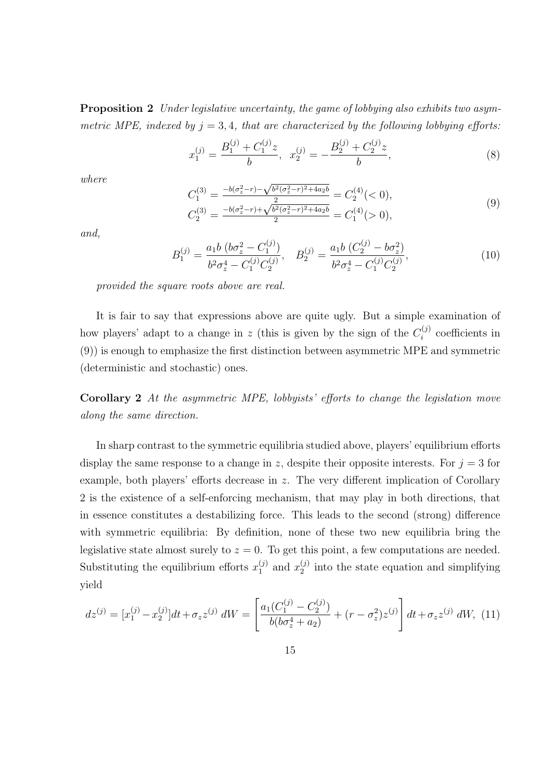**Proposition 2** *Under legislative uncertainty, the game of lobbying also exhibits two asymmetric MPE, indexed by*  $j = 3, 4$ *, that are characterized by the following lobbying efforts:* 

$$
x_1^{(j)} = \frac{B_1^{(j)} + C_1^{(j)}z}{b}, \quad x_2^{(j)} = -\frac{B_2^{(j)} + C_2^{(j)}z}{b},\tag{8}
$$

*where*

$$
C_1^{(3)} = \frac{-b(\sigma_z^2 - r) - \sqrt{b^2(\sigma_z^2 - r)^2 + 4a_2b}}{2} = C_2^{(4)}(< 0),
$$
  
\n
$$
C_2^{(3)} = \frac{-b(\sigma_z^2 - r) + \sqrt{b^2(\sigma_z^2 - r)^2 + 4a_2b}}{2} = C_1^{(4)}(> 0),
$$
\n(9)

*and,*

$$
B_1^{(j)} = \frac{a_1 b \left(b \sigma_z^2 - C_1^{(j)}\right)}{b^2 \sigma_z^4 - C_1^{(j)} C_2^{(j)}}, \quad B_2^{(j)} = \frac{a_1 b \left(C_2^{(j)} - b \sigma_z^2\right)}{b^2 \sigma_z^4 - C_1^{(j)} C_2^{(j)}},\tag{10}
$$

*provided the square roots above are real.*

It is fair to say that expressions above are quite ugly. But a simple examination of how players' adapt to a change in  $z$  (this is given by the sign of the  $C_i^{(j)}$  $\binom{J}{i}$  coefficients in (9)) is enough to emphasize the first distinction between asymmetric MPE and symmetric (deterministic and stochastic) ones.

**Corollary 2** *At the asymmetric MPE, lobbyists' efforts to change the legislation move along the same direction.*

In sharp contrast to the symmetric equilibria studied above, players' equilibrium efforts display the same response to a change in *z*, despite their opposite interests. For  $j = 3$  for example, both players' efforts decrease in *z*. The very different implication of Corollary 2 is the existence of a self-enforcing mechanism, that may play in both directions, that in essence constitutes a destabilizing force. This leads to the second (strong) difference with symmetric equilibria: By definition, none of these two new equilibria bring the legislative state almost surely to  $z = 0$ . To get this point, a few computations are needed. Substituting the equilibrium efforts  $x_1^{(j)}$  $x_1^{(j)}$  and  $x_2^{(j)}$  $_2^{(j)}$  into the state equation and simplifying yield

$$
dz^{(j)} = [x_1^{(j)} - x_2^{(j)}]dt + \sigma_z z^{(j)} dW = \left[ \frac{a_1(C_1^{(j)} - C_2^{(j)})}{b(b\sigma_z^4 + a_2)} + (r - \sigma_z^2)z^{(j)} \right] dt + \sigma_z z^{(j)} dW, \tag{11}
$$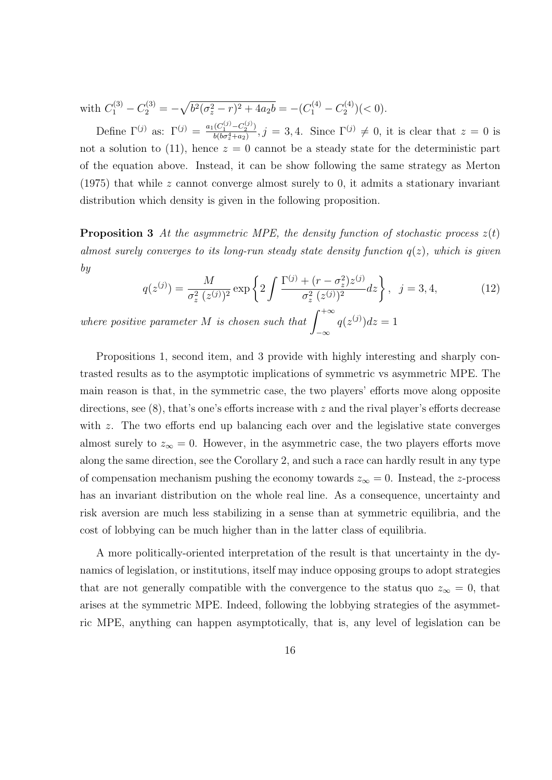with  $C_1^{(3)} - C_2^{(3)} = -\sqrt{b^2(\sigma_z^2 - r)^2 + 4a_2b} = -(C_1^{(4)} - C_2^{(4)}$  $\binom{4}{2}$  (< 0).

Define  $\Gamma^{(j)}$  as:  $\Gamma^{(j)} = \frac{a_1(C_1^{(j)} - C_2^{(j)})}{b(b \sigma^4 + a_2)}$  $\frac{(C_1^{(3)} - C_2^{(3)})}{b(b\sigma_x^4 + a_2)}, j = 3, 4.$  Since  $\Gamma^{(j)} \neq 0$ , it is clear that  $z = 0$  is not a solution to (11), hence  $z = 0$  cannot be a steady state for the deterministic part of the equation above. Instead, it can be show following the same strategy as Merton (1975) that while *z* cannot converge almost surely to 0, it admits a stationary invariant distribution which density is given in the following proposition.

**Proposition 3** At the asymmetric MPE, the density function of stochastic process  $z(t)$ *almost surely converges to its long-run steady state density function q*(*z*)*, which is given by*

$$
q(z^{(j)}) = \frac{M}{\sigma_z^2 (z^{(j)})^2} \exp\left\{2\int \frac{\Gamma^{(j)} + (r - \sigma_z^2)z^{(j)}}{\sigma_z^2 (z^{(j)})^2} dz\right\}, \quad j = 3, 4,
$$
 (12)

*where positive parameter M is chosen such that*  $\int_{0}^{+\infty}$ *−∞*  $q(z^{(j)})dz = 1$ 

Propositions 1, second item, and 3 provide with highly interesting and sharply contrasted results as to the asymptotic implications of symmetric vs asymmetric MPE. The main reason is that, in the symmetric case, the two players' efforts move along opposite directions, see (8), that's one's efforts increase with *z* and the rival player's efforts decrease with *z*. The two efforts end up balancing each over and the legislative state converges almost surely to  $z_{\infty} = 0$ . However, in the asymmetric case, the two players efforts move along the same direction, see the Corollary 2, and such a race can hardly result in any type of compensation mechanism pushing the economy towards  $z_\infty = 0$ . Instead, the *z*-process has an invariant distribution on the whole real line. As a consequence, uncertainty and risk aversion are much less stabilizing in a sense than at symmetric equilibria, and the cost of lobbying can be much higher than in the latter class of equilibria.

A more politically-oriented interpretation of the result is that uncertainty in the dynamics of legislation, or institutions, itself may induce opposing groups to adopt strategies that are not generally compatible with the convergence to the status quo  $z_\infty = 0$ , that arises at the symmetric MPE. Indeed, following the lobbying strategies of the asymmetric MPE, anything can happen asymptotically, that is, any level of legislation can be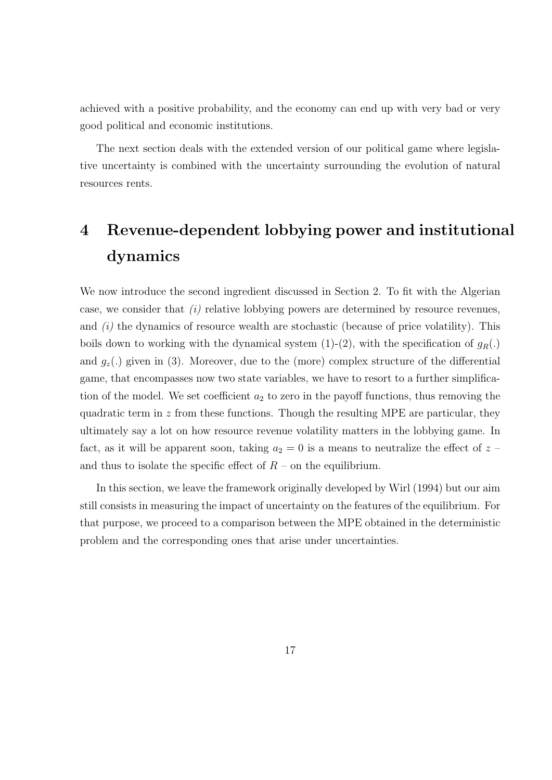achieved with a positive probability, and the economy can end up with very bad or very good political and economic institutions.

The next section deals with the extended version of our political game where legislative uncertainty is combined with the uncertainty surrounding the evolution of natural resources rents.

# **4 Revenue-dependent lobbying power and institutional dynamics**

We now introduce the second ingredient discussed in Section 2. To fit with the Algerian case, we consider that *(i)* relative lobbying powers are determined by resource revenues, and *(i)* the dynamics of resource wealth are stochastic (because of price volatility). This boils down to working with the dynamical system  $(1)-(2)$ , with the specification of  $g_R(.)$ and  $g_z(.)$  given in (3). Moreover, due to the (more) complex structure of the differential game, that encompasses now two state variables, we have to resort to a further simplification of the model. We set coefficient  $a_2$  to zero in the payoff functions, thus removing the quadratic term in *z* from these functions. Though the resulting MPE are particular, they ultimately say a lot on how resource revenue volatility matters in the lobbying game. In fact, as it will be apparent soon, taking  $a_2 = 0$  is a means to neutralize the effect of  $z$ and thus to isolate the specific effect of  $R$  – on the equilibrium.

In this section, we leave the framework originally developed by Wirl (1994) but our aim still consists in measuring the impact of uncertainty on the features of the equilibrium. For that purpose, we proceed to a comparison between the MPE obtained in the deterministic problem and the corresponding ones that arise under uncertainties.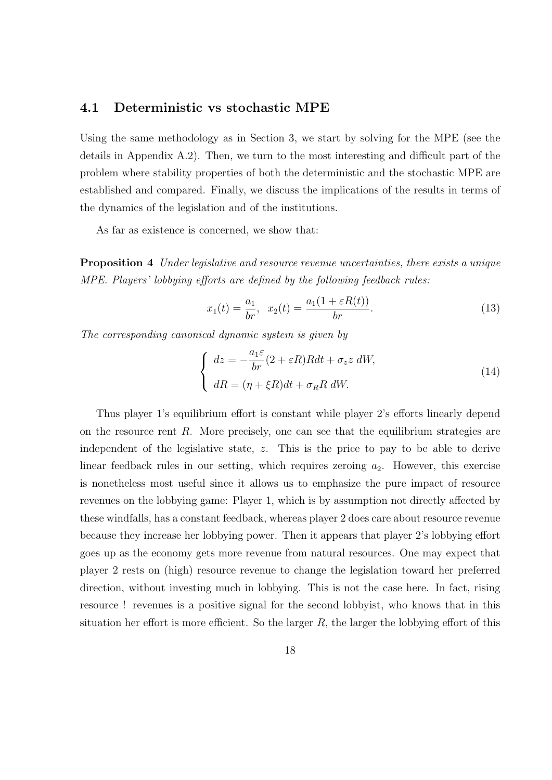## **4.1 Deterministic vs stochastic MPE**

Using the same methodology as in Section 3, we start by solving for the MPE (see the details in Appendix A.2). Then, we turn to the most interesting and difficult part of the problem where stability properties of both the deterministic and the stochastic MPE are established and compared. Finally, we discuss the implications of the results in terms of the dynamics of the legislation and of the institutions.

As far as existence is concerned, we show that:

**Proposition 4** *Under legislative and resource revenue uncertainties, there exists a unique MPE. Players' lobbying efforts are defined by the following feedback rules:*

$$
x_1(t) = \frac{a_1}{br}, \ \ x_2(t) = \frac{a_1(1 + \varepsilon R(t))}{br}.
$$
 (13)

*The corresponding canonical dynamic system is given by*

$$
\begin{cases}\n dz = -\frac{a_1 \varepsilon}{br}(2 + \varepsilon R)Rdt + \sigma_z z \, dW, \\
 dR = (\eta + \xi R)dt + \sigma_R R \, dW.\n\end{cases}
$$
\n(14)

Thus player 1's equilibrium effort is constant while player 2's efforts linearly depend on the resource rent *R*. More precisely, one can see that the equilibrium strategies are independent of the legislative state, *z*. This is the price to pay to be able to derive linear feedback rules in our setting, which requires zeroing  $a_2$ . However, this exercise is nonetheless most useful since it allows us to emphasize the pure impact of resource revenues on the lobbying game: Player 1, which is by assumption not directly affected by these windfalls, has a constant feedback, whereas player 2 does care about resource revenue because they increase her lobbying power. Then it appears that player 2's lobbying effort goes up as the economy gets more revenue from natural resources. One may expect that player 2 rests on (high) resource revenue to change the legislation toward her preferred direction, without investing much in lobbying. This is not the case here. In fact, rising resource ! revenues is a positive signal for the second lobbyist, who knows that in this situation her effort is more efficient. So the larger  $R$ , the larger the lobbying effort of this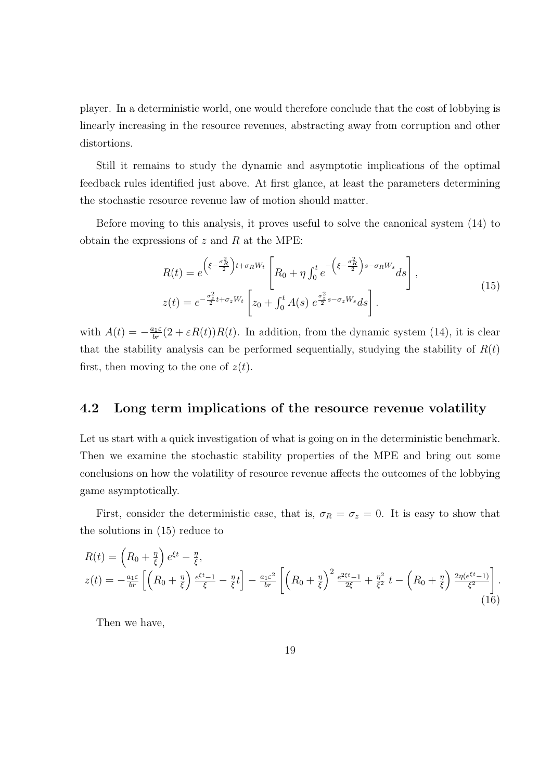player. In a deterministic world, one would therefore conclude that the cost of lobbying is linearly increasing in the resource revenues, abstracting away from corruption and other distortions.

Still it remains to study the dynamic and asymptotic implications of the optimal feedback rules identified just above. At first glance, at least the parameters determining the stochastic resource revenue law of motion should matter.

Before moving to this analysis, it proves useful to solve the canonical system (14) to obtain the expressions of *z* and *R* at the MPE:

$$
R(t) = e^{\left(\xi - \frac{\sigma_R^2}{2}\right)t + \sigma_R W_t} \left[ R_0 + \eta \int_0^t e^{-\left(\xi - \frac{\sigma_R^2}{2}\right)s - \sigma_R W_s} ds \right],
$$
  
\n
$$
z(t) = e^{-\frac{\sigma_z^2}{2}t + \sigma_z W_t} \left[ z_0 + \int_0^t A(s) e^{\frac{\sigma_z^2}{2}s - \sigma_z W_s} ds \right].
$$
\n(15)

with  $A(t) = -\frac{a_1 \varepsilon}{br}(2 + \varepsilon R(t))R(t)$ . In addition, from the dynamic system (14), it is clear that the stability analysis can be performed sequentially, studying the stability of  $R(t)$ first, then moving to the one of  $z(t)$ .

## **4.2 Long term implications of the resource revenue volatility**

Let us start with a quick investigation of what is going on in the deterministic benchmark. Then we examine the stochastic stability properties of the MPE and bring out some conclusions on how the volatility of resource revenue affects the outcomes of the lobbying game asymptotically.

First, consider the deterministic case, that is,  $\sigma_R = \sigma_z = 0$ . It is easy to show that the solutions in (15) reduce to

$$
R(t) = \left(R_0 + \frac{\eta}{\xi}\right)e^{\xi t} - \frac{\eta}{\xi},
$$
  
\n
$$
z(t) = -\frac{a_1 \varepsilon}{br} \left[ \left(R_0 + \frac{\eta}{\xi}\right)\frac{e^{\xi t} - 1}{\xi} - \frac{\eta}{\xi}t \right] - \frac{a_1 \varepsilon^2}{br} \left[ \left(R_0 + \frac{\eta}{\xi}\right)^2 \frac{e^{2\xi t} - 1}{2\xi} + \frac{\eta^2}{\xi^2}t - \left(R_0 + \frac{\eta}{\xi}\right)\frac{2\eta(e^{\xi t} - 1)}{\xi^2} \right].
$$
\n(16)

Then we have,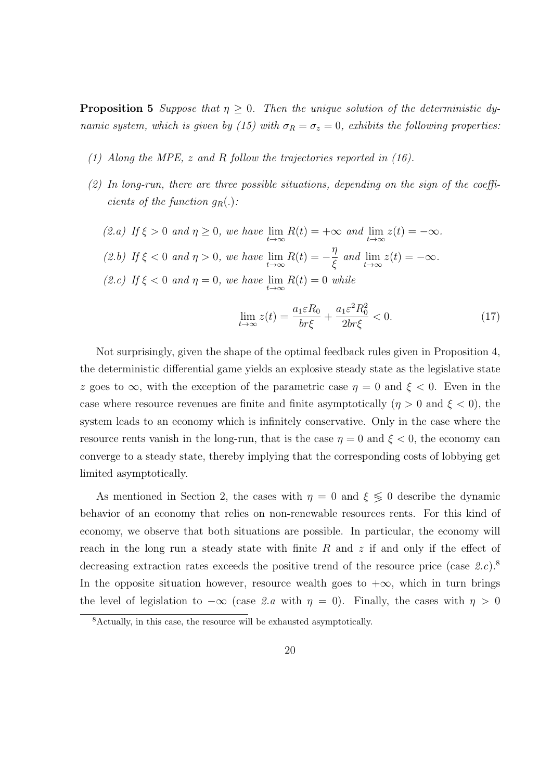**Proposition 5** *Suppose that*  $\eta \geq 0$ . Then the unique solution of the deterministic dy*namic system, which is given by (15) with*  $\sigma_R = \sigma_z = 0$ , exhibits the following properties:

- *(1) Along the MPE, z and R follow the trajectories reported in (16).*
- *(2) In long-run, there are three possible situations, depending on the sign of the coefficients of the function*  $q_R(.)$ :
	- *(2.a) If*  $ξ > 0$  *and*  $η ≥ 0$ *, we have* lim *t→∞*  $R(t) = +\infty$  *and* lim *t→∞*  $z(t) = -\infty$ . *(2.b) If ξ <* 0 *and η >* 0*, we have* lim *t→∞*  $R(t) =$ *η ξ and* lim *t→∞*  $z(t) = -\infty$ . *(2.c) If ξ <* 0 *and η* = 0*, we have* lim *t→∞*  $R(t) = 0$  *while*

$$
\lim_{t \to \infty} z(t) = \frac{a_1 \varepsilon R_0}{br\xi} + \frac{a_1 \varepsilon^2 R_0^2}{2br\xi} < 0. \tag{17}
$$

Not surprisingly, given the shape of the optimal feedback rules given in Proposition 4, the deterministic differential game yields an explosive steady state as the legislative state *z* goes to  $\infty$ , with the exception of the parametric case  $\eta = 0$  and  $\xi < 0$ . Even in the case where resource revenues are finite and finite asymptotically  $(\eta > 0 \text{ and } \xi < 0)$ , the system leads to an economy which is infinitely conservative. Only in the case where the resource rents vanish in the long-run, that is the case  $\eta = 0$  and  $\xi < 0$ , the economy can converge to a steady state, thereby implying that the corresponding costs of lobbying get limited asymptotically.

As mentioned in Section 2, the cases with  $\eta = 0$  and  $\xi \leq 0$  describe the dynamic behavior of an economy that relies on non-renewable resources rents. For this kind of economy, we observe that both situations are possible. In particular, the economy will reach in the long run a steady state with finite *R* and *z* if and only if the effect of decreasing extraction rates exceeds the positive trend of the resource price (case *2.c*).<sup>8</sup> In the opposite situation however, resource wealth goes to  $+\infty$ , which in turn brings the level of legislation to  $-\infty$  (case 2.a with  $\eta = 0$ ). Finally, the cases with  $\eta > 0$ 

<sup>8</sup>Actually, in this case, the resource will be exhausted asymptotically.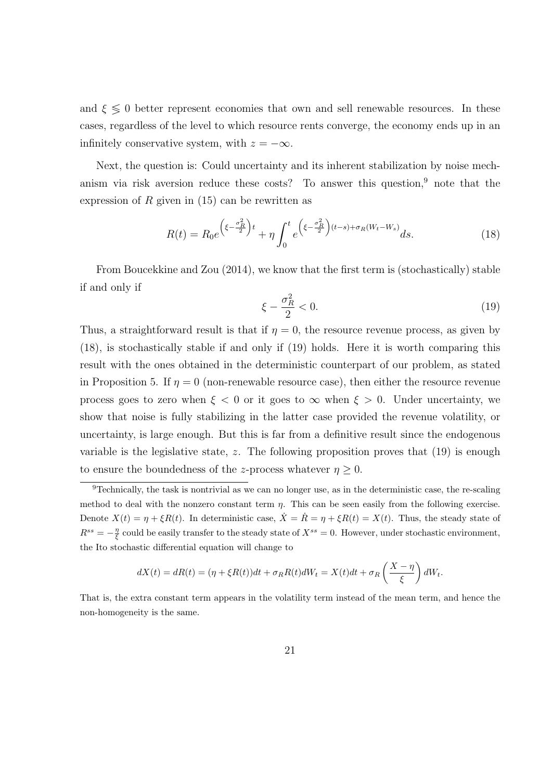and  $\xi \leq 0$  better represent economies that own and sell renewable resources. In these cases, regardless of the level to which resource rents converge, the economy ends up in an infinitely conservative system, with  $z = -\infty$ .

Next, the question is: Could uncertainty and its inherent stabilization by noise mechanism via risk aversion reduce these costs? To answer this question, $9$  note that the expression of *R* given in (15) can be rewritten as

$$
R(t) = R_0 e^{\left(\xi - \frac{\sigma_R^2}{2}\right)t} + \eta \int_0^t e^{\left(\xi - \frac{\sigma_R^2}{2}\right)(t-s) + \sigma_R(W_t - W_s)} ds.
$$
 (18)

From Boucekkine and Zou (2014), we know that the first term is (stochastically) stable if and only if

$$
\xi - \frac{\sigma_R^2}{2} < 0. \tag{19}
$$

Thus, a straightforward result is that if  $\eta = 0$ , the resource revenue process, as given by (18), is stochastically stable if and only if (19) holds. Here it is worth comparing this result with the ones obtained in the deterministic counterpart of our problem, as stated in Proposition 5. If  $\eta = 0$  (non-renewable resource case), then either the resource revenue process goes to zero when  $\xi < 0$  or it goes to  $\infty$  when  $\xi > 0$ . Under uncertainty, we show that noise is fully stabilizing in the latter case provided the revenue volatility, or uncertainty, is large enough. But this is far from a definitive result since the endogenous variable is the legislative state, *z*. The following proposition proves that (19) is enough to ensure the boundedness of the *z*-process whatever  $\eta \geq 0$ .

$$
dX(t) = dR(t) = (\eta + \xi R(t))dt + \sigma_R R(t)dW_t = X(t)dt + \sigma_R \left(\frac{X - \eta}{\xi}\right)dW_t.
$$

That is, the extra constant term appears in the volatility term instead of the mean term, and hence the non-homogeneity is the same.

<sup>9</sup>Technically, the task is nontrivial as we can no longer use, as in the deterministic case, the re-scaling method to deal with the nonzero constant term *η*. This can be seen easily from the following exercise. Denote  $X(t) = \eta + \xi R(t)$ . In deterministic case,  $\dot{X} = \dot{R} = \eta + \xi R(t) = X(t)$ . Thus, the steady state of  $R^{ss} = -\frac{\eta}{\xi}$  could be easily transfer to the steady state of  $X^{ss} = 0$ . However, under stochastic environment, the Ito stochastic differential equation will change to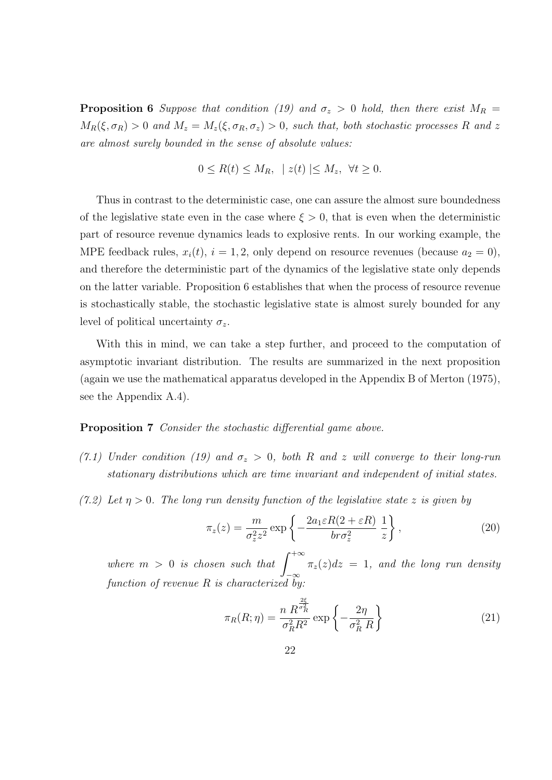**Proposition 6** *Suppose that condition (19) and*  $\sigma_z > 0$  *hold, then there exist*  $M_R =$  $M_R(\xi, \sigma_R) > 0$  *and*  $M_z = M_z(\xi, \sigma_R, \sigma_z) > 0$ *, such that, both stochastic processes R and z are almost surely bounded in the sense of absolute values:*

$$
0 \le R(t) \le M_R, \ \ | \ z(t) \le M_z, \ \ \forall t \ge 0.
$$

Thus in contrast to the deterministic case, one can assure the almost sure boundedness of the legislative state even in the case where  $\xi > 0$ , that is even when the deterministic part of resource revenue dynamics leads to explosive rents. In our working example, the MPE feedback rules,  $x_i(t)$ ,  $i = 1, 2$ , only depend on resource revenues (because  $a_2 = 0$ ), and therefore the deterministic part of the dynamics of the legislative state only depends on the latter variable. Proposition 6 establishes that when the process of resource revenue is stochastically stable, the stochastic legislative state is almost surely bounded for any level of political uncertainty  $\sigma_z$ .

With this in mind, we can take a step further, and proceed to the computation of asymptotic invariant distribution. The results are summarized in the next proposition (again we use the mathematical apparatus developed in the Appendix B of Merton (1975), see the Appendix A.4).

#### **Proposition 7** *Consider the stochastic differential game above.*

- *(7.1) Under condition (19)* and  $\sigma_z > 0$ , both *R* and *z* will converge to their long-run *stationary distributions which are time invariant and independent of initial states.*
- *(7.2) Let η >* 0*. The long run density function of the legislative state z is given by*

$$
\pi_z(z) = \frac{m}{\sigma_z^2 z^2} \exp\left\{-\frac{2a_1 \varepsilon R(2 + \varepsilon R)}{b r \sigma_z^2} \frac{1}{z}\right\},\tag{20}
$$

*where*  $m > 0$  *is chosen such that*  $\int_{0}^{+\infty} \pi_{z}(z) dz = 1$ , and the long run density *−∞ function of revenue R is characterized by:*

$$
\pi_R(R;\eta) = \frac{n \ R^{\frac{2\xi}{\sigma_R^2}}}{\sigma_R^2 R^2} \exp\left\{-\frac{2\eta}{\sigma_R^2 R}\right\} \tag{21}
$$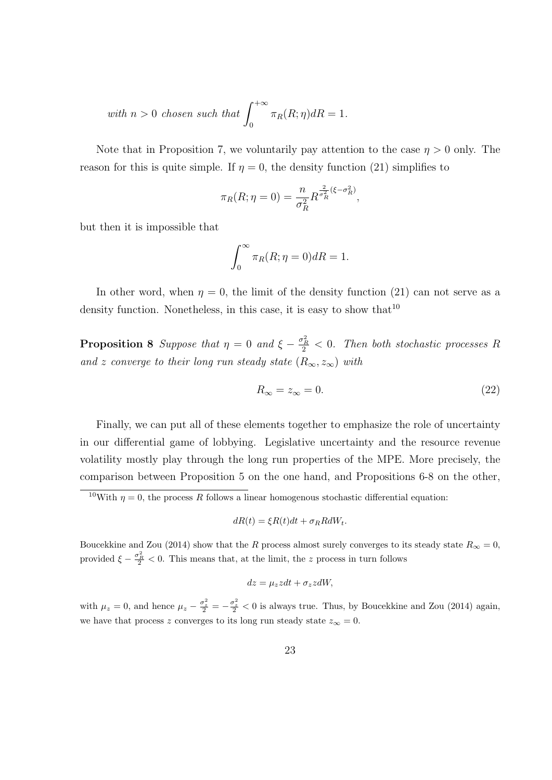with 
$$
n > 0
$$
 chosen such that  $\int_0^{+\infty} \pi_R(R; \eta) dR = 1$ .

Note that in Proposition 7, we voluntarily pay attention to the case  $\eta > 0$  only. The reason for this is quite simple. If  $\eta = 0$ , the density function (21) simplifies to

$$
\pi_R(R;\eta=0) = \frac{n}{\sigma_R^2} R^{\frac{2}{\sigma_R^2}(\xi-\sigma_R^2)},
$$

but then it is impossible that

$$
\int_0^\infty \pi_R(R; \eta = 0) dR = 1.
$$

In other word, when  $\eta = 0$ , the limit of the density function (21) can not serve as a density function. Nonetheless, in this case, it is easy to show that  $10$ 

**Proposition 8** *Suppose that*  $\eta = 0$  *and*  $\xi - \frac{\sigma_R^2}{2} < 0$ *. Then both stochastic processes R and z converge to their long run steady state* ( $R_\infty$ ,  $z_\infty$ ) *with* 

$$
R_{\infty} = z_{\infty} = 0. \tag{22}
$$

Finally, we can put all of these elements together to emphasize the role of uncertainty in our differential game of lobbying. Legislative uncertainty and the resource revenue volatility mostly play through the long run properties of the MPE. More precisely, the comparison between Proposition 5 on the one hand, and Propositions 6-8 on the other,

$$
dR(t) = \xi R(t)dt + \sigma_R R dW_t.
$$

Boucekkine and Zou (2014) show that the *R* process almost surely converges to its steady state  $R_\infty = 0$ , provided  $\xi - \frac{\sigma_B^2}{2} < 0$ . This means that, at the limit, the *z* process in turn follows

$$
dz = \mu_z z dt + \sigma_z z dW,
$$

with  $\mu_z = 0$ , and hence  $\mu_z - \frac{\sigma_z^2}{2} = -\frac{\sigma_z^2}{2} < 0$  is always true. Thus, by Boucekkine and Zou (2014) again, we have that process *z* converges to its long run steady state  $z_{\infty} = 0$ .

<sup>&</sup>lt;sup>10</sup>With  $\eta = 0$ , the process *R* follows a linear homogenous stochastic differential equation: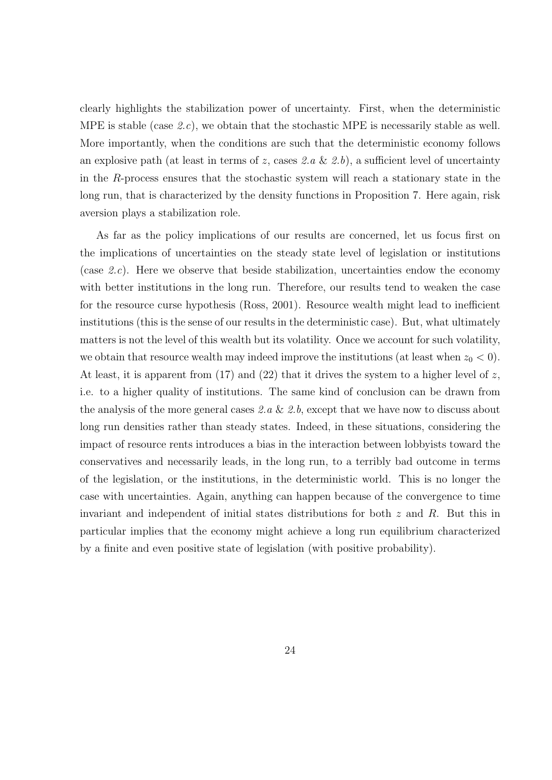clearly highlights the stabilization power of uncertainty. First, when the deterministic MPE is stable (case *2.c*), we obtain that the stochastic MPE is necessarily stable as well. More importantly, when the conditions are such that the deterministic economy follows an explosive path (at least in terms of *z*, cases *2.a* & *2.b*), a sufficient level of uncertainty in the *R*-process ensures that the stochastic system will reach a stationary state in the long run, that is characterized by the density functions in Proposition 7. Here again, risk aversion plays a stabilization role.

As far as the policy implications of our results are concerned, let us focus first on the implications of uncertainties on the steady state level of legislation or institutions (case *2.c*). Here we observe that beside stabilization, uncertainties endow the economy with better institutions in the long run. Therefore, our results tend to weaken the case for the resource curse hypothesis (Ross, 2001). Resource wealth might lead to inefficient institutions (this is the sense of our results in the deterministic case). But, what ultimately matters is not the level of this wealth but its volatility. Once we account for such volatility, we obtain that resource wealth may indeed improve the institutions (at least when  $z_0 < 0$ ). At least, it is apparent from (17) and (22) that it drives the system to a higher level of *z*, i.e. to a higher quality of institutions. The same kind of conclusion can be drawn from the analysis of the more general cases *2.a* & *2.b*, except that we have now to discuss about long run densities rather than steady states. Indeed, in these situations, considering the impact of resource rents introduces a bias in the interaction between lobbyists toward the conservatives and necessarily leads, in the long run, to a terribly bad outcome in terms of the legislation, or the institutions, in the deterministic world. This is no longer the case with uncertainties. Again, anything can happen because of the convergence to time invariant and independent of initial states distributions for both *z* and *R*. But this in particular implies that the economy might achieve a long run equilibrium characterized by a finite and even positive state of legislation (with positive probability).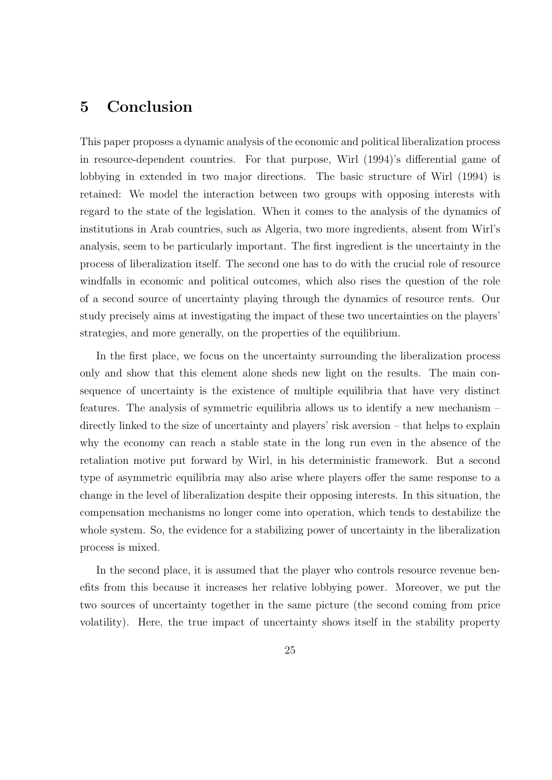## **5 Conclusion**

This paper proposes a dynamic analysis of the economic and political liberalization process in resource-dependent countries. For that purpose, Wirl (1994)'s differential game of lobbying in extended in two major directions. The basic structure of Wirl (1994) is retained: We model the interaction between two groups with opposing interests with regard to the state of the legislation. When it comes to the analysis of the dynamics of institutions in Arab countries, such as Algeria, two more ingredients, absent from Wirl's analysis, seem to be particularly important. The first ingredient is the uncertainty in the process of liberalization itself. The second one has to do with the crucial role of resource windfalls in economic and political outcomes, which also rises the question of the role of a second source of uncertainty playing through the dynamics of resource rents. Our study precisely aims at investigating the impact of these two uncertainties on the players' strategies, and more generally, on the properties of the equilibrium.

In the first place, we focus on the uncertainty surrounding the liberalization process only and show that this element alone sheds new light on the results. The main consequence of uncertainty is the existence of multiple equilibria that have very distinct features. The analysis of symmetric equilibria allows us to identify a new mechanism – directly linked to the size of uncertainty and players' risk aversion – that helps to explain why the economy can reach a stable state in the long run even in the absence of the retaliation motive put forward by Wirl, in his deterministic framework. But a second type of asymmetric equilibria may also arise where players offer the same response to a change in the level of liberalization despite their opposing interests. In this situation, the compensation mechanisms no longer come into operation, which tends to destabilize the whole system. So, the evidence for a stabilizing power of uncertainty in the liberalization process is mixed.

In the second place, it is assumed that the player who controls resource revenue benefits from this because it increases her relative lobbying power. Moreover, we put the two sources of uncertainty together in the same picture (the second coming from price volatility). Here, the true impact of uncertainty shows itself in the stability property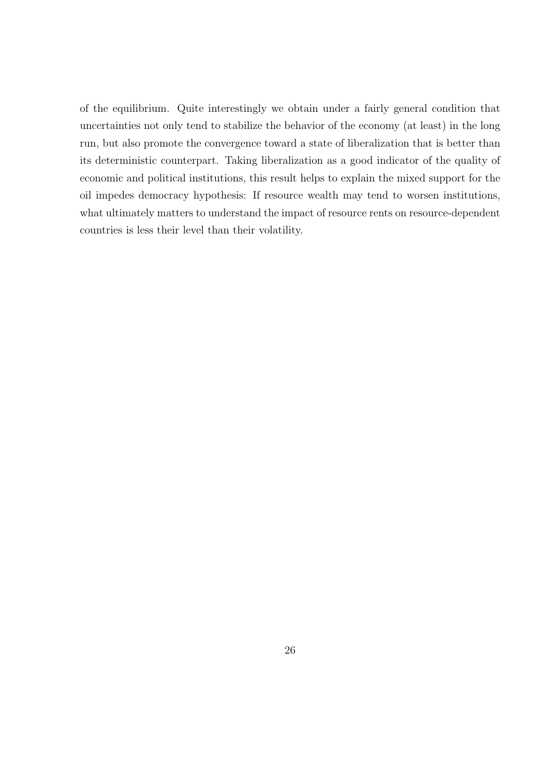of the equilibrium. Quite interestingly we obtain under a fairly general condition that uncertainties not only tend to stabilize the behavior of the economy (at least) in the long run, but also promote the convergence toward a state of liberalization that is better than its deterministic counterpart. Taking liberalization as a good indicator of the quality of economic and political institutions, this result helps to explain the mixed support for the oil impedes democracy hypothesis: If resource wealth may tend to worsen institutions, what ultimately matters to understand the impact of resource rents on resource-dependent countries is less their level than their volatility.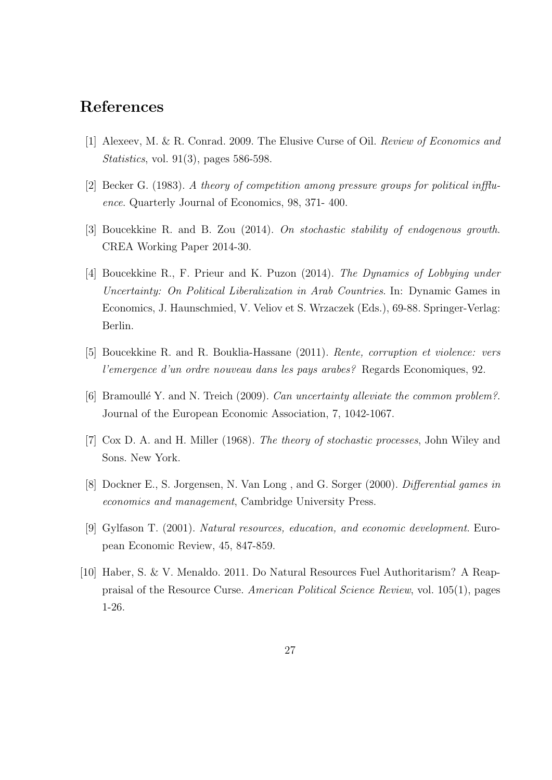## **References**

- [1] Alexeev, M. & R. Conrad. 2009. The Elusive Curse of Oil. *Review of Economics and Statistics*, vol. 91(3), pages 586-598.
- [2] Becker G. (1983). *A theory of competition among pressure groups for political inffluence*. Quarterly Journal of Economics, 98, 371- 400.
- [3] Boucekkine R. and B. Zou (2014). *On stochastic stability of endogenous growth*. CREA Working Paper 2014-30.
- [4] Boucekkine R., F. Prieur and K. Puzon (2014). *The Dynamics of Lobbying under Uncertainty: On Political Liberalization in Arab Countries*. In: Dynamic Games in Economics, J. Haunschmied, V. Veliov et S. Wrzaczek (Eds.), 69-88. Springer-Verlag: Berlin.
- [5] Boucekkine R. and R. Bouklia-Hassane (2011). *Rente, corruption et violence: vers l'emergence d'un ordre nouveau dans les pays arabes?* Regards Economiques, 92.
- [6] Bramoull´e Y. and N. Treich (2009). *Can uncertainty alleviate the common problem?*. Journal of the European Economic Association, 7, 1042-1067.
- [7] Cox D. A. and H. Miller (1968). *The theory of stochastic processes*, John Wiley and Sons. New York.
- [8] Dockner E., S. Jorgensen, N. Van Long , and G. Sorger (2000). *Differential games in economics and management*, Cambridge University Press.
- [9] Gylfason T. (2001). *Natural resources, education, and economic development*. European Economic Review, 45, 847-859.
- [10] Haber, S. & V. Menaldo. 2011. Do Natural Resources Fuel Authoritarism? A Reappraisal of the Resource Curse. *American Political Science Review*, vol. 105(1), pages 1-26.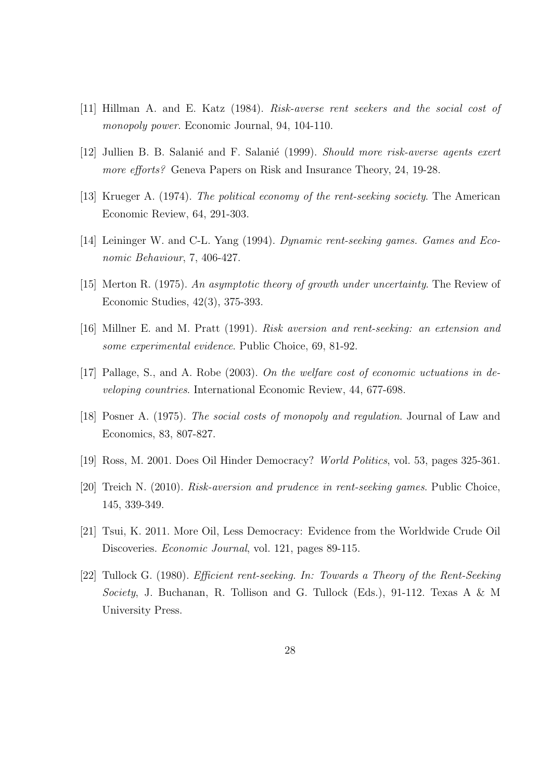- [11] Hillman A. and E. Katz (1984). *Risk-averse rent seekers and the social cost of monopoly power*. Economic Journal, 94, 104-110.
- [12] Jullien B. B. Salani´e and F. Salani´e (1999). *Should more risk-averse agents exert more efforts?* Geneva Papers on Risk and Insurance Theory, 24, 19-28.
- [13] Krueger A. (1974). *The political economy of the rent-seeking society*. The American Economic Review, 64, 291-303.
- [14] Leininger W. and C-L. Yang (1994). *Dynamic rent-seeking games. Games and Economic Behaviour*, 7, 406-427.
- [15] Merton R. (1975). *An asymptotic theory of growth under uncertainty*. The Review of Economic Studies, 42(3), 375-393.
- [16] Millner E. and M. Pratt (1991). *Risk aversion and rent-seeking: an extension and some experimental evidence*. Public Choice, 69, 81-92.
- [17] Pallage, S., and A. Robe (2003). *On the welfare cost of economic uctuations in developing countries*. International Economic Review, 44, 677-698.
- [18] Posner A. (1975). *The social costs of monopoly and regulation*. Journal of Law and Economics, 83, 807-827.
- [19] Ross, M. 2001. Does Oil Hinder Democracy? *World Politics*, vol. 53, pages 325-361.
- [20] Treich N. (2010). *Risk-aversion and prudence in rent-seeking games*. Public Choice, 145, 339-349.
- [21] Tsui, K. 2011. More Oil, Less Democracy: Evidence from the Worldwide Crude Oil Discoveries. *Economic Journal*, vol. 121, pages 89-115.
- [22] Tullock G. (1980). *Efficient rent-seeking. In: Towards a Theory of the Rent-Seeking Society*, J. Buchanan, R. Tollison and G. Tullock (Eds.), 91-112. Texas A & M University Press.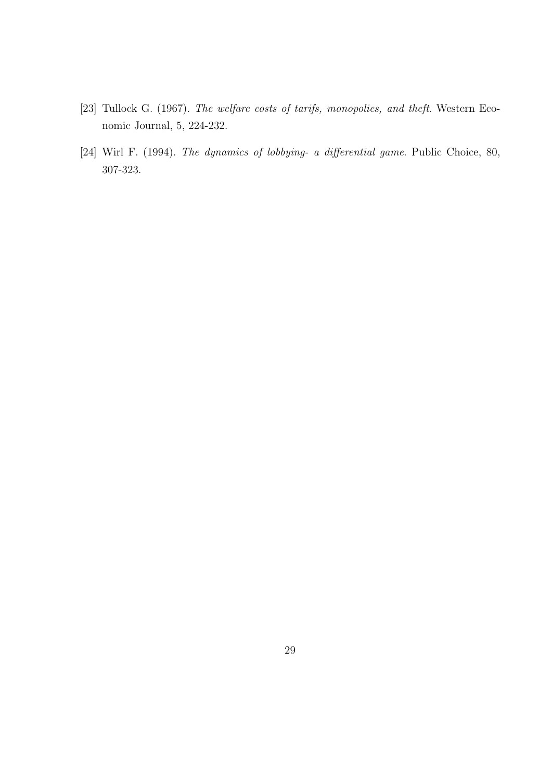- [23] Tullock G. (1967). *The welfare costs of tarifs, monopolies, and theft*. Western Economic Journal, 5, 224-232.
- [24] Wirl F. (1994). *The dynamics of lobbying- a differential game*. Public Choice, 80, 307-323.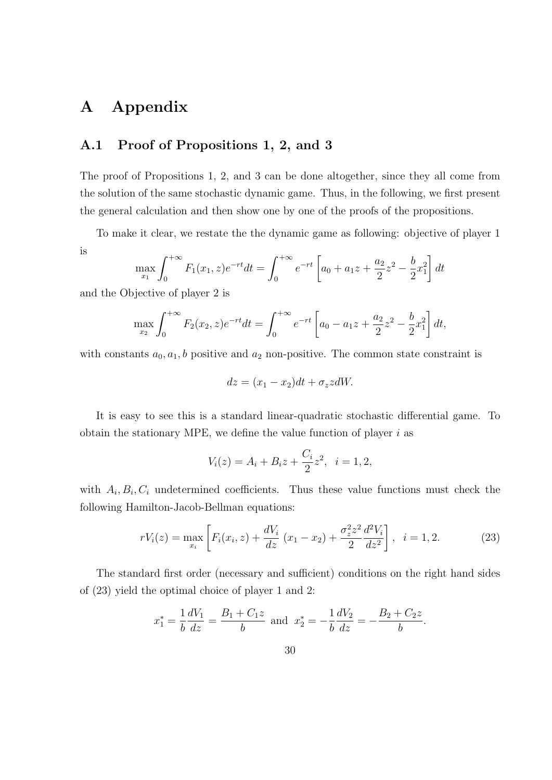## **A Appendix**

## **A.1 Proof of Propositions 1, 2, and 3**

The proof of Propositions 1, 2, and 3 can be done altogether, since they all come from the solution of the same stochastic dynamic game. Thus, in the following, we first present the general calculation and then show one by one of the proofs of the propositions.

To make it clear, we restate the the dynamic game as following: objective of player 1 is

$$
\max_{x_1} \int_0^{+\infty} F_1(x_1, z) e^{-rt} dt = \int_0^{+\infty} e^{-rt} \left[ a_0 + a_1 z + \frac{a_2}{2} z^2 - \frac{b}{2} x_1^2 \right] dt
$$

and the Objective of player 2 is

$$
\max_{x_2} \int_0^{+\infty} F_2(x_2, z) e^{-rt} dt = \int_0^{+\infty} e^{-rt} \left[ a_0 - a_1 z + \frac{a_2}{2} z^2 - \frac{b}{2} x_1^2 \right] dt,
$$

with constants  $a_0, a_1, b$  positive and  $a_2$  non-positive. The common state constraint is

$$
dz = (x_1 - x_2)dt + \sigma_z z dW.
$$

It is easy to see this is a standard linear-quadratic stochastic differential game. To obtain the stationary MPE, we define the value function of player *i* as

$$
V_i(z) = A_i + B_i z + \frac{C_i}{2} z^2, \ \ i = 1, 2,
$$

with  $A_i, B_i, C_i$  undetermined coefficients. Thus these value functions must check the following Hamilton-Jacob-Bellman equations:

$$
rV_i(z) = \max_{x_i} \left[ F_i(x_i, z) + \frac{dV_i}{dz} (x_1 - x_2) + \frac{\sigma_z^2 z^2}{2} \frac{d^2 V_i}{dz^2} \right], \quad i = 1, 2.
$$
 (23)

The standard first order (necessary and sufficient) conditions on the right hand sides of (23) yield the optimal choice of player 1 and 2:

$$
x_1^* = \frac{1}{b} \frac{dV_1}{dz} = \frac{B_1 + C_1 z}{b}
$$
 and  $x_2^* = -\frac{1}{b} \frac{dV_2}{dz} = -\frac{B_2 + C_2 z}{b}$ .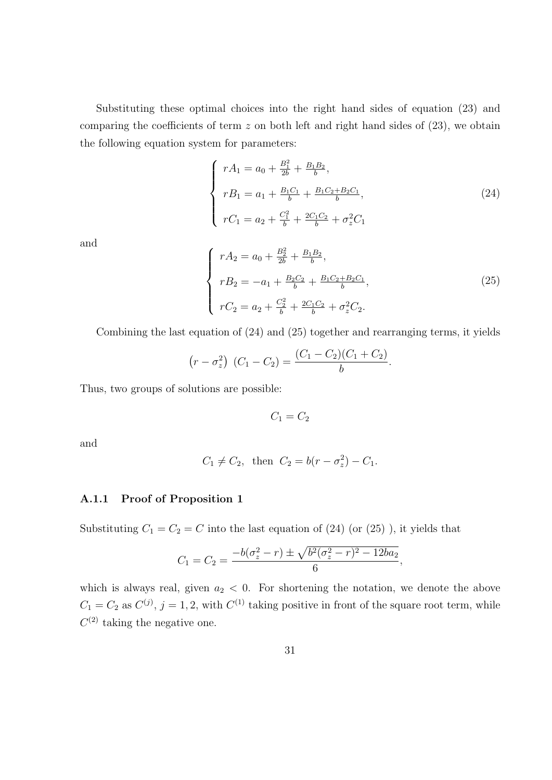Substituting these optimal choices into the right hand sides of equation (23) and comparing the coefficients of term *z* on both left and right hand sides of (23), we obtain the following equation system for parameters:

$$
\begin{cases}\nrA_1 = a_0 + \frac{B_1^2}{2b} + \frac{B_1 B_2}{b}, \nrB_1 = a_1 + \frac{B_1 C_1}{b} + \frac{B_1 C_2 + B_2 C_1}{b}, \nrC_1 = a_2 + \frac{C_1^2}{b} + \frac{2C_1 C_2}{b} + \sigma_z^2 C_1\n\end{cases}
$$
\n(24)

and

$$
\begin{cases}\nrA_2 = a_0 + \frac{B_2^2}{2b} + \frac{B_1 B_2}{b}, \nrB_2 = -a_1 + \frac{B_2 C_2}{b} + \frac{B_1 C_2 + B_2 C_1}{b}, \nrC_2 = a_2 + \frac{C_2^2}{b} + \frac{2C_1 C_2}{b} + \sigma_z^2 C_2.\n\end{cases}
$$
\n(25)

Combining the last equation of (24) and (25) together and rearranging terms, it yields

$$
(r - \sigma_z^2) (C_1 - C_2) = \frac{(C_1 - C_2)(C_1 + C_2)}{b}.
$$

Thus, two groups of solutions are possible:

 $C_1 = C_2$ 

and

$$
C_1 \neq C_2
$$
, then  $C_2 = b(r - \sigma_z^2) - C_1$ .

#### **A.1.1 Proof of Proposition 1**

Substituting  $C_1 = C_2 = C$  into the last equation of  $(24)$  (or  $(25)$ ), it yields that

$$
C_1 = C_2 = \frac{-b(\sigma_z^2 - r) \pm \sqrt{b^2(\sigma_z^2 - r)^2 - 12ba_2}}{6},
$$

which is always real, given  $a_2 < 0$ . For shortening the notation, we denote the above  $C_1 = C_2$  as  $C^{(j)}$ ,  $j = 1, 2$ , with  $C^{(1)}$  taking positive in front of the square root term, while  $C^{(2)}$  taking the negative one.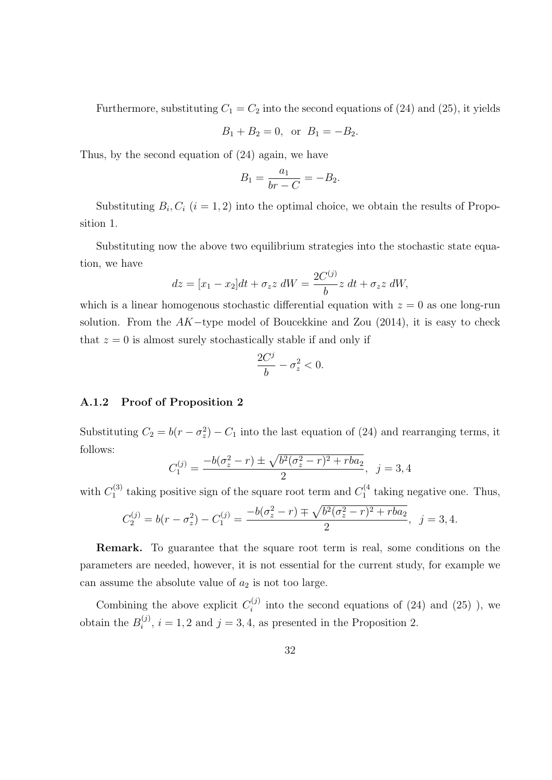Furthermore, substituting  $C_1 = C_2$  into the second equations of (24) and (25), it yields

$$
B_1 + B_2 = 0
$$
, or  $B_1 = -B_2$ .

Thus, by the second equation of (24) again, we have

$$
B_1 = \frac{a_1}{br - C} = -B_2.
$$

Substituting  $B_i, C_i$  ( $i = 1, 2$ ) into the optimal choice, we obtain the results of Proposition 1.

Substituting now the above two equilibrium strategies into the stochastic state equation, we have

$$
dz = [x_1 - x_2]dt + \sigma_z z \, dW = \frac{2C^{(j)}}{b}z \, dt + \sigma_z z \, dW,
$$

which is a linear homogenous stochastic differential equation with  $z = 0$  as one long-run solution. From the *AK−*type model of Boucekkine and Zou (2014), it is easy to check that  $z = 0$  is almost surely stochastically stable if and only if

$$
\frac{2C^j}{b} - \sigma_z^2 < 0.
$$

#### **A.1.2 Proof of Proposition 2**

Substituting  $C_2 = b(r - \sigma_z^2) - C_1$  into the last equation of (24) and rearranging terms, it follows:

$$
C_1^{(j)} = \frac{-b(\sigma_z^2 - r) \pm \sqrt{b^2(\sigma_z^2 - r)^2 + rba_2}}{2}, \ \ j = 3, 4
$$

with  $C_1^{(3)}$ <sup>(3)</sup> taking positive sign of the square root term and  $C_1^{(4)}$  $\int_1^{(4)}$  taking negative one. Thus,

$$
C_2^{(j)} = b(r - \sigma_z^2) - C_1^{(j)} = \frac{-b(\sigma_z^2 - r) \mp \sqrt{b^2(\sigma_z^2 - r)^2 + rba_2}}{2}, \ \ j = 3, 4.
$$

**Remark.** To guarantee that the square root term is real, some conditions on the parameters are needed, however, it is not essential for the current study, for example we can assume the absolute value of  $a_2$  is not too large.

Combining the above explicit  $C_i^{(j)}$  $i^{(3)}$  into the second equations of (24) and (25)), we obtain the  $B_i^{(j)}$  $i^{(j)}$ ,  $i = 1, 2$  and  $j = 3, 4$ , as presented in the Proposition 2.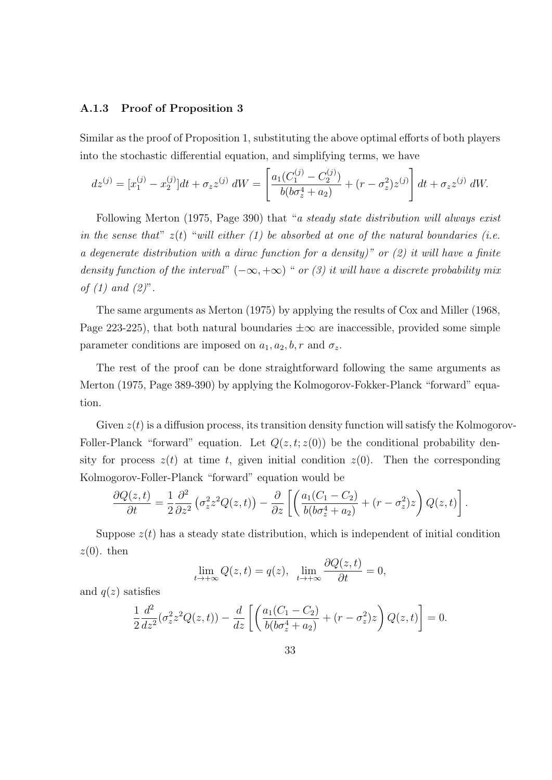#### **A.1.3 Proof of Proposition 3**

Similar as the proof of Proposition 1, substituting the above optimal efforts of both players into the stochastic differential equation, and simplifying terms, we have

$$
dz^{(j)} = [x_1^{(j)} - x_2^{(j)}]dt + \sigma_z z^{(j)} dW = \left[ \frac{a_1(C_1^{(j)} - C_2^{(j)})}{b(b\sigma_z^4 + a_2)} + (r - \sigma_z^2)z^{(j)} \right] dt + \sigma_z z^{(j)} dW.
$$

Following Merton (1975, Page 390) that "*a steady state distribution will always exist in the sense that*" *z*(*t*) "*will either (1) be absorbed at one of the natural boundaries (i.e. a degenerate distribution with a dirac function for a density)" or (2) it will have a finite density function of the interval*"  $(-\infty, +\infty)$  " *or (3) it will have a discrete probability mix of (1) and (2)*".

The same arguments as Merton (1975) by applying the results of Cox and Miller (1968, Page 223-225), that both natural boundaries *±∞* are inaccessible, provided some simple parameter conditions are imposed on  $a_1, a_2, b, r$  and  $\sigma_z$ .

The rest of the proof can be done straightforward following the same arguments as Merton (1975, Page 389-390) by applying the Kolmogorov-Fokker-Planck "forward" equation.

Given  $z(t)$  is a diffusion process, its transition density function will satisfy the Kolmogorov-Foller-Planck "forward" equation. Let  $Q(z, t; z(0))$  be the conditional probability density for process  $z(t)$  at time *t*, given initial condition  $z(0)$ . Then the corresponding Kolmogorov-Foller-Planck "forward" equation would be

$$
\frac{\partial Q(z,t)}{\partial t} = \frac{1}{2} \frac{\partial^2}{\partial z^2} \left( \sigma_z^2 z^2 Q(z,t) \right) - \frac{\partial}{\partial z} \left[ \left( \frac{a_1 (C_1 - C_2)}{b (b \sigma_z^4 + a_2)} + (r - \sigma_z^2) z \right) Q(z,t) \right].
$$

Suppose  $z(t)$  has a steady state distribution, which is independent of initial condition  $z(0)$ . then

$$
\lim_{t \to +\infty} Q(z, t) = q(z), \ \ \lim_{t \to +\infty} \frac{\partial Q(z, t)}{\partial t} = 0,
$$

and  $q(z)$  satisfies

$$
\frac{1}{2}\frac{d^2}{dz^2}(\sigma_z^2 z^2 Q(z,t)) - \frac{d}{dz}\left[\left(\frac{a_1(C_1 - C_2)}{b(b\sigma_z^4 + a_2)} + (r - \sigma_z^2)z\right)Q(z,t)\right] = 0.
$$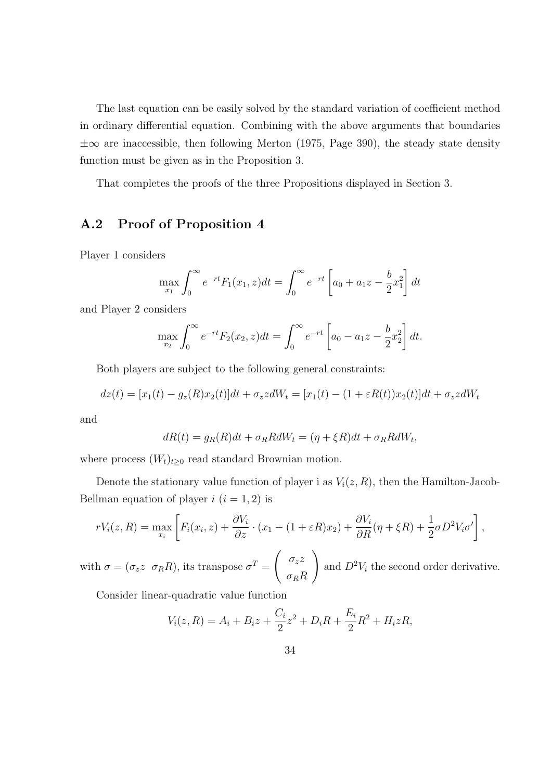The last equation can be easily solved by the standard variation of coefficient method in ordinary differential equation. Combining with the above arguments that boundaries *±∞* are inaccessible, then following Merton (1975, Page 390), the steady state density function must be given as in the Proposition 3.

That completes the proofs of the three Propositions displayed in Section 3.

## **A.2 Proof of Proposition 4**

Player 1 considers

$$
\max_{x_1} \int_0^\infty e^{-rt} F_1(x_1, z) dt = \int_0^\infty e^{-rt} \left[ a_0 + a_1 z - \frac{b}{2} x_1^2 \right] dt
$$

and Player 2 considers

$$
\max_{x_2} \int_0^\infty e^{-rt} F_2(x_2, z) dt = \int_0^\infty e^{-rt} \left[ a_0 - a_1 z - \frac{b}{2} x_2^2 \right] dt.
$$

Both players are subject to the following general constraints:

$$
dz(t) = [x_1(t) - g_z(R)x_2(t)]dt + \sigma_z z dW_t = [x_1(t) - (1 + \varepsilon R(t))x_2(t)]dt + \sigma_z z dW_t
$$

and

$$
dR(t) = g_R(R)dt + \sigma_R R dW_t = (\eta + \xi R)dt + \sigma_R R dW_t,
$$

where process  $(W_t)_{t\geq 0}$  read standard Brownian motion.

Denote the stationary value function of player i as  $V_i(z, R)$ , then the Hamilton-Jacob-Bellman equation of player  $i$   $(i = 1, 2)$  is

$$
rV_i(z,R) = \max_{x_i} \left[ F_i(x_i, z) + \frac{\partial V_i}{\partial z} \cdot (x_1 - (1 + \varepsilon R)x_2) + \frac{\partial V_i}{\partial R} (\eta + \xi R) + \frac{1}{2} \sigma D^2 V_i \sigma' \right],
$$

with  $\sigma = (\sigma_z z \ \sigma_R R)$ , its transpose  $\sigma^T =$  $\int \sigma_z z$ *σRR*  $\setminus$ and  $D^2V_i$  the second order derivative.

Consider linear-quadratic value function

$$
V_i(z, R) = A_i + B_i z + \frac{C_i}{2} z^2 + D_i R + \frac{E_i}{2} R^2 + H_i z R,
$$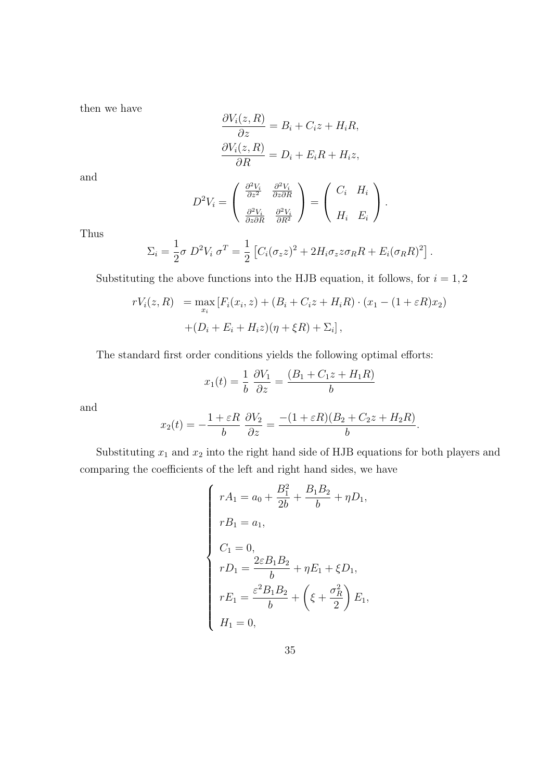then we have

$$
\frac{\partial V_i(z, R)}{\partial z} = B_i + C_i z + H_i R,
$$
  

$$
\frac{\partial V_i(z, R)}{\partial R} = D_i + E_i R + H_i z,
$$

and

$$
D^2 V_i = \begin{pmatrix} \frac{\partial^2 V_i}{\partial z^2} & \frac{\partial^2 V_i}{\partial z \partial R} \\ \frac{\partial^2 V_i}{\partial z \partial R} & \frac{\partial^2 V_i}{\partial R^2} \end{pmatrix} = \begin{pmatrix} C_i & H_i \\ H_i & E_i \end{pmatrix}.
$$

Thus

$$
\Sigma_i = \frac{1}{2}\sigma D^2 V_i \sigma^T = \frac{1}{2} \left[ C_i (\sigma_z z)^2 + 2H_i \sigma_z z \sigma_R R + E_i (\sigma_R R)^2 \right].
$$

Substituting the above functions into the HJB equation, it follows, for  $i = 1, 2$ 

$$
rV_i(z, R) = \max_{x_i} [F_i(x_i, z) + (B_i + C_i z + H_i R) \cdot (x_1 - (1 + \varepsilon R)x_2) + (D_i + E_i + H_i z)(\eta + \xi R) + \Sigma_i],
$$

The standard first order conditions yields the following optimal efforts:

$$
x_1(t) = \frac{1}{b} \frac{\partial V_1}{\partial z} = \frac{(B_1 + C_1 z + H_1 R)}{b}
$$

and

$$
x_2(t) = -\frac{1+\varepsilon R}{b} \frac{\partial V_2}{\partial z} = \frac{-(1+\varepsilon R)(B_2 + C_2 z + H_2 R)}{b}.
$$

Substituting  $x_1$  and  $x_2$  into the right hand side of HJB equations for both players and comparing the coefficients of the left and right hand sides, we have

$$
\begin{cases}\nrA_1 = a_0 + \frac{B_1^2}{2b} + \frac{B_1B_2}{b} + \eta D_1, \\
rB_1 = a_1, \\
C_1 = 0, \\
rD_1 = \frac{2\varepsilon B_1B_2}{b} + \eta E_1 + \xi D_1, \\
rE_1 = \frac{\varepsilon^2 B_1B_2}{b} + \left(\xi + \frac{\sigma_R^2}{2}\right)E_1, \\
H_1 = 0,\n\end{cases}
$$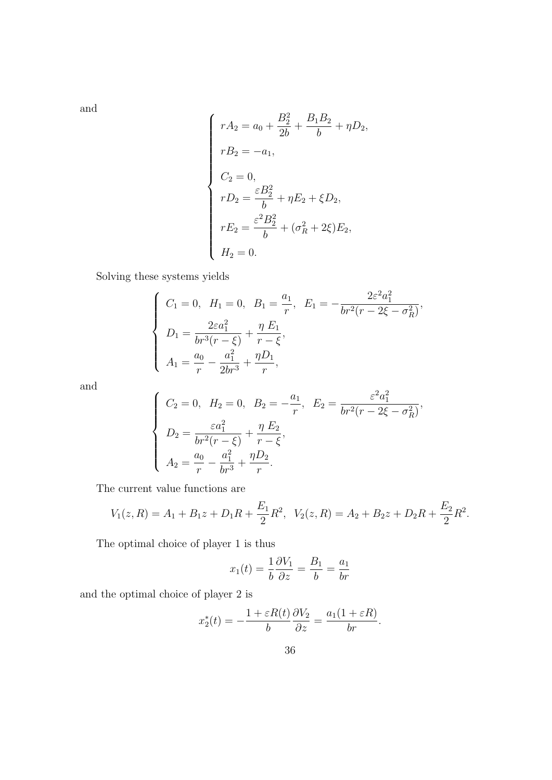and

$$
\begin{cases}\nrA_2 = a_0 + \frac{B_2^2}{2b} + \frac{B_1B_2}{b} + \eta D_2, \\
rB_2 = -a_1, \\
C_2 = 0, \\
rD_2 = \frac{\varepsilon B_2^2}{b} + \eta E_2 + \xi D_2, \\
rE_2 = \frac{\varepsilon^2 B_2^2}{b} + (\sigma_R^2 + 2\xi)E_2, \\
H_2 = 0.\n\end{cases}
$$

Solving these systems yields

$$
\begin{cases}\nC_1 = 0, & H_1 = 0, \ B_1 = \frac{a_1}{r}, \ E_1 = -\frac{2\varepsilon^2 a_1^2}{br^2(r - 2\xi - \sigma_R^2)}, \\
D_1 = \frac{2\varepsilon a_1^2}{br^3(r - \xi)} + \frac{\eta E_1}{r - \xi}, \\
A_1 = \frac{a_0}{r} - \frac{a_1^2}{2br^3} + \frac{\eta D_1}{r},\n\end{cases}
$$

and

$$
\begin{cases}\nC_2 = 0, & H_2 = 0, B_2 = -\frac{a_1}{r}, E_2 = \frac{\varepsilon^2 a_1^2}{br^2(r - 2\xi - \sigma_R^2)}, \\
D_2 = \frac{\varepsilon a_1^2}{br^2(r - \xi)} + \frac{\eta E_2}{r - \xi}, \\
A_2 = \frac{a_0}{r} - \frac{a_1^2}{br^3} + \frac{\eta D_2}{r}.\n\end{cases}
$$

The current value functions are

$$
V_1(z,R) = A_1 + B_1 z + D_1 R + \frac{E_1}{2} R^2, \quad V_2(z,R) = A_2 + B_2 z + D_2 R + \frac{E_2}{2} R^2.
$$

The optimal choice of player 1 is thus

$$
x_1(t) = \frac{1}{b} \frac{\partial V_1}{\partial z} = \frac{B_1}{b} = \frac{a_1}{br}
$$

and the optimal choice of player 2 is

$$
x_2^*(t) = -\frac{1 + \varepsilon R(t)}{b} \frac{\partial V_2}{\partial z} = \frac{a_1(1 + \varepsilon R)}{br}.
$$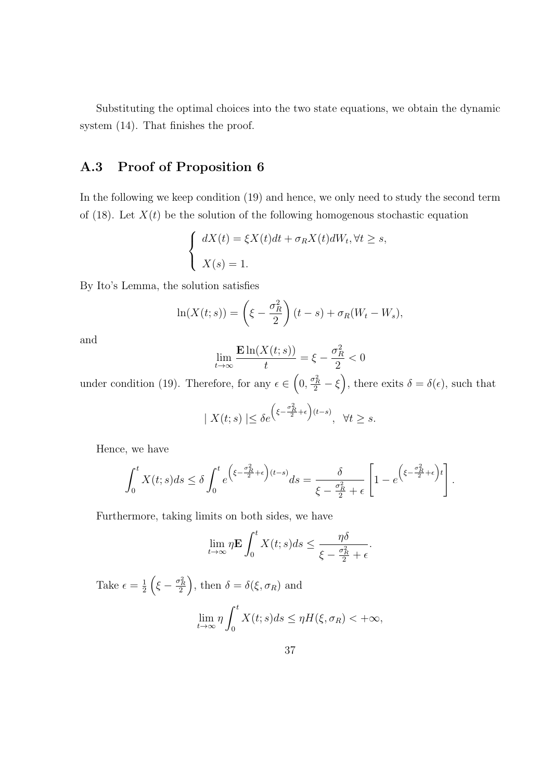Substituting the optimal choices into the two state equations, we obtain the dynamic system  $(14)$ . That finishes the proof.

## **A.3 Proof of Proposition 6**

In the following we keep condition (19) and hence, we only need to study the second term of (18). Let  $X(t)$  be the solution of the following homogenous stochastic equation

$$
\begin{cases} dX(t) = \xi X(t)dt + \sigma_R X(t)dW_t, \forall t \ge s, \\ X(s) = 1. \end{cases}
$$

By Ito's Lemma, the solution satisfies

$$
\ln(X(t;s)) = \left(\xi - \frac{\sigma_R^2}{2}\right)(t-s) + \sigma_R(W_t - W_s),
$$

and

$$
\lim_{t \to \infty} \frac{\mathbf{E} \ln(X(t; s))}{t} = \xi - \frac{\sigma_R^2}{2} < 0
$$

under condition (19). Therefore, for any  $\epsilon \in (0, \frac{\sigma_R^2}{2} - \xi)$ , there exits  $\delta = \delta(\epsilon)$ , such that

$$
| X(t;s) | \le \delta e^{\left(\xi - \frac{\sigma_R^2}{2} + \epsilon\right)(t-s)}, \ \ \forall t \ge s.
$$

Hence, we have

$$
\int_0^t X(t;s)ds \le \delta \int_0^t e^{\left(\xi - \frac{\sigma_R^2}{2} + \epsilon\right)(t-s)}ds = \frac{\delta}{\xi - \frac{\sigma_R^2}{2} + \epsilon} \left[1 - e^{\left(\xi - \frac{\sigma_R^2}{2} + \epsilon\right)t}\right].
$$

Furthermore, taking limits on both sides, we have

$$
\lim_{t \to \infty} \eta \mathbf{E} \int_0^t X(t; s) ds \le \frac{\eta \delta}{\xi - \frac{\sigma_R^2}{2} + \epsilon}.
$$

Take  $\epsilon = \frac{1}{2}$  $\frac{1}{2} \left( \xi - \frac{\sigma_R^2}{2} \right)$ , then  $\delta = \delta(\xi, \sigma_R)$  and lim *t→∞ η* ∫ *<sup>t</sup>* 0  $X(t; s)ds \leq \eta H(\xi, \sigma_R) < +\infty$ ,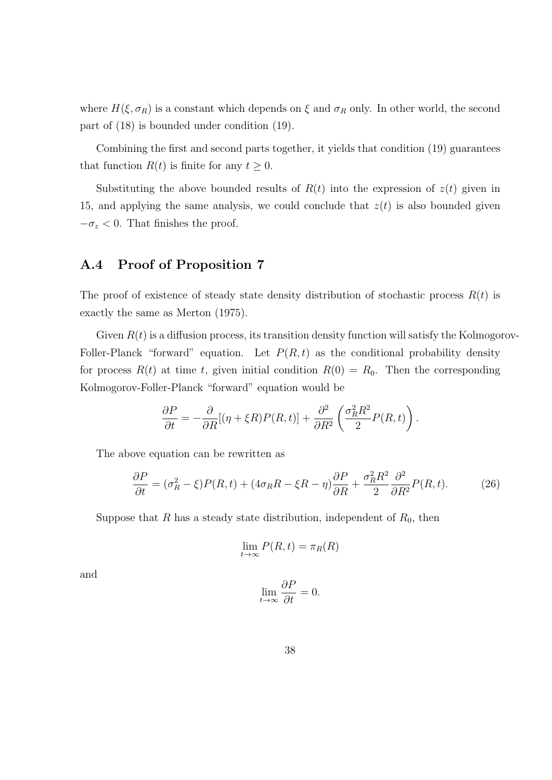where  $H(\xi, \sigma_R)$  is a constant which depends on  $\xi$  and  $\sigma_R$  only. In other world, the second part of (18) is bounded under condition (19).

Combining the first and second parts together, it yields that condition (19) guarantees that function  $R(t)$  is finite for any  $t \geq 0$ .

Substituting the above bounded results of  $R(t)$  into the expression of  $z(t)$  given in 15, and applying the same analysis, we could conclude that *z*(*t*) is also bounded given  $-\sigma_z < 0$ . That finishes the proof.

## **A.4 Proof of Proposition 7**

The proof of existence of steady state density distribution of stochastic process  $R(t)$  is exactly the same as Merton (1975).

Given  $R(t)$  is a diffusion process, its transition density function will satisfy the Kolmogorov-Foller-Planck "forward" equation. Let  $P(R, t)$  as the conditional probability density for process  $R(t)$  at time *t*, given initial condition  $R(0) = R_0$ . Then the corresponding Kolmogorov-Foller-Planck "forward" equation would be

$$
\frac{\partial P}{\partial t} = -\frac{\partial}{\partial R} [(\eta + \xi R) P(R, t)] + \frac{\partial^2}{\partial R^2} \left( \frac{\sigma_R^2 R^2}{2} P(R, t) \right).
$$

The above equation can be rewritten as

$$
\frac{\partial P}{\partial t} = (\sigma_R^2 - \xi)P(R, t) + (4\sigma_R R - \xi R - \eta)\frac{\partial P}{\partial R} + \frac{\sigma_R^2 R^2}{2} \frac{\partial^2}{\partial R^2}P(R, t). \tag{26}
$$

Suppose that *R* has a steady state distribution, independent of  $R_0$ , then

$$
\lim_{t \to \infty} P(R, t) = \pi_R(R)
$$

and

$$
\lim_{t \to \infty} \frac{\partial P}{\partial t} = 0.
$$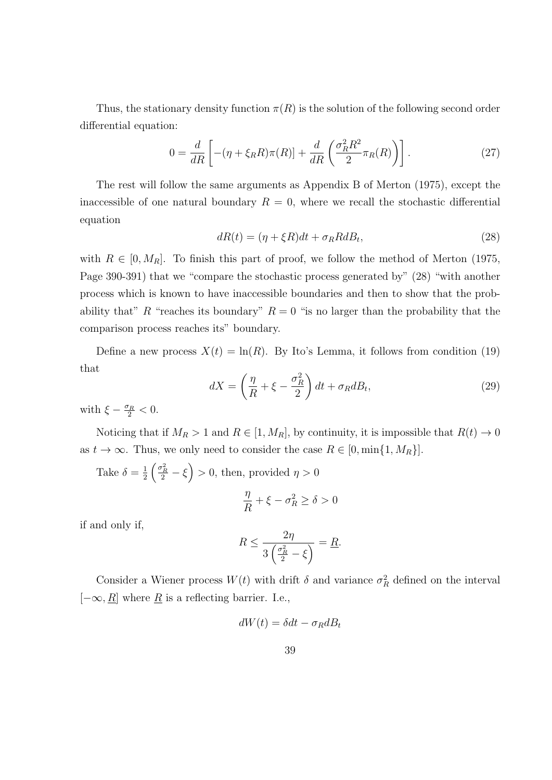Thus, the stationary density function  $\pi(R)$  is the solution of the following second order differential equation:

$$
0 = \frac{d}{dR} \left[ -(\eta + \xi_R R)\pi(R) \right] + \frac{d}{dR} \left( \frac{\sigma_R^2 R^2}{2} \pi_R(R) \right) \right]. \tag{27}
$$

The rest will follow the same arguments as Appendix B of Merton (1975), except the inaccessible of one natural boundary  $R = 0$ , where we recall the stochastic differential equation

$$
dR(t) = (\eta + \xi R)dt + \sigma_R R dB_t, \qquad (28)
$$

with  $R \in [0, M_R]$ . To finish this part of proof, we follow the method of Merton (1975, Page 390-391) that we "compare the stochastic process generated by" (28) "with another process which is known to have inaccessible boundaries and then to show that the probability that"  $R$  "reaches its boundary"  $R = 0$  "is no larger than the probability that the comparison process reaches its" boundary.

Define a new process  $X(t) = \ln(R)$ . By Ito's Lemma, it follows from condition (19) that

$$
dX = \left(\frac{\eta}{R} + \xi - \frac{\sigma_R^2}{2}\right)dt + \sigma_R dB_t, \tag{29}
$$

with  $\xi - \frac{\sigma_R}{2} < 0$ .

Noticing that if  $M_R > 1$  and  $R \in [1, M_R]$ , by continuity, it is impossible that  $R(t) \to 0$ as  $t \to \infty$ . Thus, we only need to consider the case  $R \in [0, \min\{1, M_R\}]$ .

Take 
$$
\delta = \frac{1}{2} \left( \frac{\sigma_R^2}{2} - \xi \right) > 0
$$
, then, provided  $\eta > 0$   

$$
\frac{\eta}{R} + \xi - \sigma_R^2 \ge \delta > 0
$$

if and only if,

$$
R \le \frac{2\eta}{3\left(\frac{\sigma_R^2}{2} - \xi\right)} = \underline{R}.
$$

Consider a Wiener process  $W(t)$  with drift  $\delta$  and variance  $\sigma_R^2$  defined on the interval [*−∞, R*] where *R* is a reflecting barrier. I.e.,

$$
dW(t) = \delta dt - \sigma_R dB_t
$$